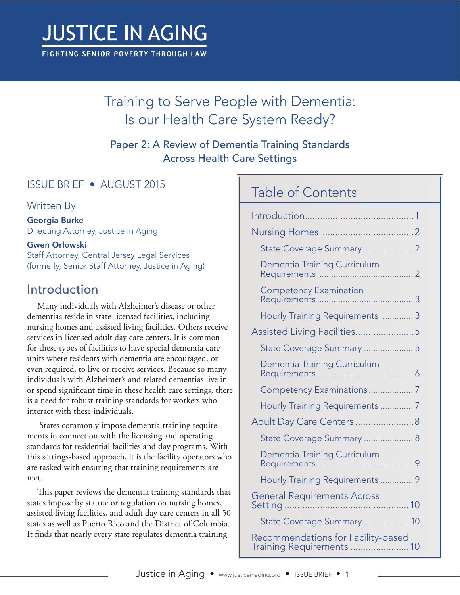# **JUSTICE IN AGING**

FIGHTING SENIOR POVERTY THROUGH LAW

# Training to Serve People with Dementia: Is our Health Care System Ready?

## Paper 2: A Review of Dementia Training Standards Across Health Care Settings

### ISSUE BRIEF • AUGUST 2015

Written By

Georgia Burke Directing Attorney, Justice in Aging

Gwen Orlowski Staff Attorney, Central Jersey Legal Services (formerly, Senior Staff Attorney, Justice in Aging)

# Introduction

Many individuals with Alzheimer's disease or other dementias reside in state-licensed facilities, including nursing homes and assisted living facilities. Others receive services in licensed adult day care centers. It is common for these types of facilities to have special dementia care units where residents with dementia are encouraged, or even required, to live or receive services. Because so many individuals with Alzheimer's and related dementias live in or spend significant time in these health care settings, there is a need for robust training standards for workers who interact with these individuals.

 States commonly impose dementia training requirements in connection with the licensing and operating standards for residential facilities and day programs. With this settings-based approach, it is the facility operators who are tasked with ensuring that training requirements are met.

This paper reviews the dementia training standards that states impose by statute or regulation on nursing homes, assisted living facilities, and adult day care centers in all 50 states as well as Puerto Rico and the District of Columbia. It finds that nearly every state regulates dementia training

# Table of Contents

| State Coverage Summary  2                                       |  |
|-----------------------------------------------------------------|--|
| Dementia Training Curriculum                                    |  |
| <b>Competency Examination</b>                                   |  |
| Hourly Training Requirements  3                                 |  |
| Assisted Living Facilities5                                     |  |
| State Coverage Summary  5                                       |  |
| Dementia Training Curriculum                                    |  |
| Competency Examinations7                                        |  |
| Hourly Training Requirements 7                                  |  |
| Adult Day Care Centers  8                                       |  |
| State Coverage Summary  8                                       |  |
| Dementia Training Curriculum                                    |  |
| Hourly Training Requirements  9                                 |  |
| <b>General Requirements Across</b>                              |  |
| State Coverage Summary  10                                      |  |
| Recommendations for Facility-based<br>Training Requirements  10 |  |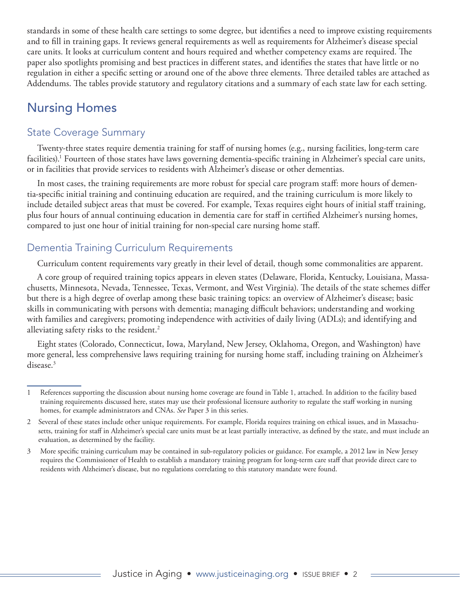<span id="page-1-0"></span>standards in some of these health care settings to some degree, but identifies a need to improve existing requirements and to fill in training gaps. It reviews general requirements as well as requirements for Alzheimer's disease special care units. It looks at curriculum content and hours required and whether competency exams are required. The paper also spotlights promising and best practices in different states, and identifies the states that have little or no regulation in either a specific setting or around one of the above three elements. Three detailed tables are attached as Addendums. The tables provide statutory and regulatory citations and a summary of each state law for each setting.

# Nursing Homes

### State Coverage Summary

Twenty-three states require dementia training for staff of nursing homes (e.g., nursing facilities, long-term care facilities).<sup>1</sup> Fourteen of those states have laws governing dementia-specific training in Alzheimer's special care units, or in facilities that provide services to residents with Alzheimer's disease or other dementias.

In most cases, the training requirements are more robust for special care program staff: more hours of dementia-specific initial training and continuing education are required, and the training curriculum is more likely to include detailed subject areas that must be covered. For example, Texas requires eight hours of initial staff training, plus four hours of annual continuing education in dementia care for staff in certified Alzheimer's nursing homes, compared to just one hour of initial training for non-special care nursing home staff.

### Dementia Training Curriculum Requirements

Curriculum content requirements vary greatly in their level of detail, though some commonalities are apparent.

A core group of required training topics appears in eleven states (Delaware, Florida, Kentucky, Louisiana, Massachusetts, Minnesota, Nevada, Tennessee, Texas, Vermont, and West Virginia). The details of the state schemes differ but there is a high degree of overlap among these basic training topics: an overview of Alzheimer's disease; basic skills in communicating with persons with dementia; managing difficult behaviors; understanding and working with families and caregivers; promoting independence with activities of daily living (ADLs); and identifying and alleviating safety risks to the resident.<sup>2</sup>

Eight states (Colorado, Connecticut, Iowa, Maryland, New Jersey, Oklahoma, Oregon, and Washington) have more general, less comprehensive laws requiring training for nursing home staff, including training on Alzheimer's disease.3

<sup>1</sup> References supporting the discussion about nursing home coverage are found in Table 1, attached. In addition to the facility based training requirements discussed here, states may use their professional licensure authority to regulate the staff working in nursing homes, for example administrators and CNAs. *See* Paper 3 in this series.

<sup>2</sup> Several of these states include other unique requirements. For example, Florida requires training on ethical issues, and in Massachusetts, training for staff in Alzheimer's special care units must be at least partially interactive, as defined by the state, and must include an evaluation, as determined by the facility.

<sup>3</sup> More specific training curriculum may be contained in sub-regulatory policies or guidance. For example, a 2012 law in New Jersey requires the Commissioner of Health to establish a mandatory training program for long-term care staff that provide direct care to residents with Alzheimer's disease, but no regulations correlating to this statutory mandate were found.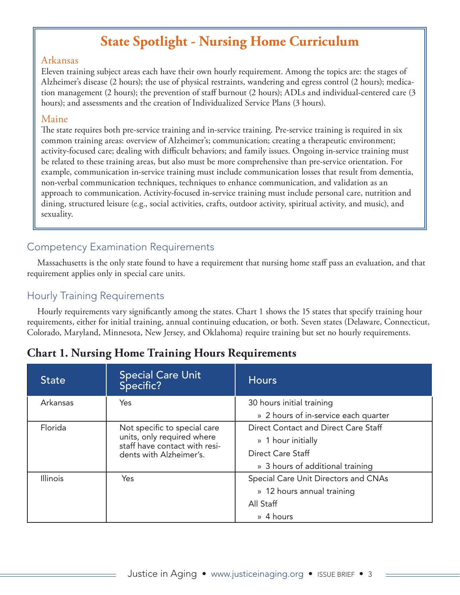# **State Spotlight - Nursing Home Curriculum**

#### <span id="page-2-0"></span>Arkansas

Eleven training subject areas each have their own hourly requirement. Among the topics are: the stages of Alzheimer's disease (2 hours); the use of physical restraints, wandering and egress control (2 hours); medication management (2 hours); the prevention of staff burnout (2 hours); ADLs and individual-centered care (3 hours); and assessments and the creation of Individualized Service Plans (3 hours).

#### Maine

The state requires both pre-service training and in-service training. Pre-service training is required in six common training areas: overview of Alzheimer's; communication; creating a therapeutic environment; activity-focused care; dealing with difficult behaviors; and family issues. Ongoing in-service training must be related to these training areas, but also must be more comprehensive than pre-service orientation. For example, communication in-service training must include communication losses that result from dementia, non-verbal communication techniques, techniques to enhance communication, and validation as an approach to communication. Activity-focused in-service training must include personal care, nutrition and dining, structured leisure (e.g., social activities, crafts, outdoor activity, spiritual activity, and music), and sexuality.

### Competency Examination Requirements

Massachusetts is the only state found to have a requirement that nursing home staff pass an evaluation, and that requirement applies only in special care units.

### Hourly Training Requirements

Hourly requirements vary significantly among the states. Chart 1 shows the 15 states that specify training hour requirements, either for initial training, annual continuing education, or both. Seven states (Delaware, Connecticut, Colorado, Maryland, Minnesota, New Jersey, and Oklahoma) require training but set no hourly requirements.

| <b>State</b>    | <b>Special Care Unit</b><br>Specific?                                                  | <b>Hours</b>                         |
|-----------------|----------------------------------------------------------------------------------------|--------------------------------------|
| Arkansas        | Yes                                                                                    | 30 hours initial training            |
|                 |                                                                                        | » 2 hours of in-service each quarter |
| Florida         | Not specific to special care                                                           | Direct Contact and Direct Care Staff |
|                 | units, only required where<br>staff have contact with resi-<br>dents with Alzheimer's. | » 1 hour initially                   |
|                 |                                                                                        | Direct Care Staff                    |
|                 |                                                                                        | » 3 hours of additional training     |
| <b>Illinois</b> | Yes                                                                                    | Special Care Unit Directors and CNAs |
|                 |                                                                                        | » 12 hours annual training           |
|                 |                                                                                        | All Staff                            |
|                 |                                                                                        | » 4 hours                            |

# **Chart 1. Nursing Home Training Hours Requirements**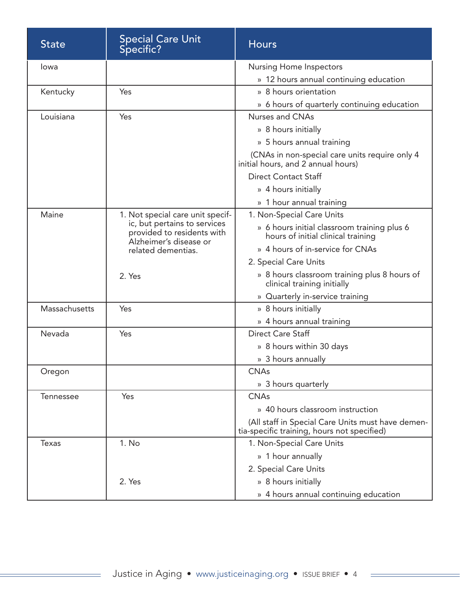| <b>State</b>  | <b>Special Care Unit</b><br>Specific?                                                | <b>Hours</b>                                                                                     |
|---------------|--------------------------------------------------------------------------------------|--------------------------------------------------------------------------------------------------|
| lowa          |                                                                                      | <b>Nursing Home Inspectors</b>                                                                   |
|               |                                                                                      | » 12 hours annual continuing education                                                           |
| Kentucky      | Yes                                                                                  | » 8 hours orientation                                                                            |
|               |                                                                                      | » 6 hours of quarterly continuing education                                                      |
| Louisiana     | Yes                                                                                  | Nurses and CNAs                                                                                  |
|               |                                                                                      | » 8 hours initially                                                                              |
|               |                                                                                      | » 5 hours annual training                                                                        |
|               |                                                                                      | (CNAs in non-special care units require only 4<br>initial hours, and 2 annual hours)             |
|               |                                                                                      | <b>Direct Contact Staff</b>                                                                      |
|               |                                                                                      | » 4 hours initially                                                                              |
|               |                                                                                      | » 1 hour annual training                                                                         |
| Maine         | 1. Not special care unit specif-                                                     | 1. Non-Special Care Units                                                                        |
|               | ic, but pertains to services<br>provided to residents with<br>Alzheimer's disease or | » 6 hours initial classroom training plus 6<br>hours of initial clinical training                |
|               | related dementias.                                                                   | » 4 hours of in-service for CNAs                                                                 |
|               |                                                                                      | 2. Special Care Units                                                                            |
|               | 2. Yes                                                                               | » 8 hours classroom training plus 8 hours of<br>clinical training initially                      |
|               |                                                                                      | » Quarterly in-service training                                                                  |
| Massachusetts | Yes                                                                                  | » 8 hours initially                                                                              |
|               |                                                                                      | » 4 hours annual training                                                                        |
| Nevada        | Yes                                                                                  | <b>Direct Care Staff</b>                                                                         |
|               |                                                                                      | » 8 hours within 30 days                                                                         |
|               |                                                                                      | » 3 hours annually                                                                               |
| Oregon        |                                                                                      | <b>CNAs</b>                                                                                      |
|               |                                                                                      | » 3 hours quarterly                                                                              |
| Tennessee     | Yes                                                                                  | <b>CNAs</b>                                                                                      |
|               |                                                                                      | » 40 hours classroom instruction                                                                 |
|               |                                                                                      | (All staff in Special Care Units must have demen-<br>tia-specific training, hours not specified) |
| <b>Texas</b>  | 1. No                                                                                | 1. Non-Special Care Units                                                                        |
|               |                                                                                      | » 1 hour annually                                                                                |
|               |                                                                                      | 2. Special Care Units                                                                            |
|               | 2. Yes                                                                               | » 8 hours initially                                                                              |
|               |                                                                                      | » 4 hours annual continuing education                                                            |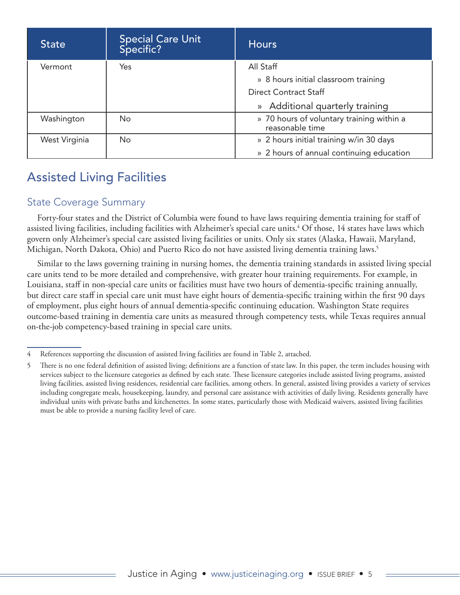<span id="page-4-0"></span>

| <b>State</b>  | Special Care Unit<br>Specific? | Hours,                                                       |
|---------------|--------------------------------|--------------------------------------------------------------|
| Vermont       | Yes                            | All Staff                                                    |
|               |                                | » 8 hours initial classroom training                         |
|               |                                | <b>Direct Contract Staff</b>                                 |
|               |                                | » Additional quarterly training                              |
| Washington    | No.                            | » 70 hours of voluntary training within a<br>reasonable time |
| West Virginia | No.                            | » 2 hours initial training w/in 30 days                      |
|               |                                | » 2 hours of annual continuing education                     |

# Assisted Living Facilities

### State Coverage Summary

Forty-four states and the District of Columbia were found to have laws requiring dementia training for staff of assisted living facilities, including facilities with Alzheimer's special care units.<sup>4</sup> Of those, 14 states have laws which govern only Alzheimer's special care assisted living facilities or units. Only six states (Alaska, Hawaii, Maryland, Michigan, North Dakota, Ohio) and Puerto Rico do not have assisted living dementia training laws.<sup>5</sup>

Similar to the laws governing training in nursing homes, the dementia training standards in assisted living special care units tend to be more detailed and comprehensive, with greater hour training requirements. For example, in Louisiana, staff in non-special care units or facilities must have two hours of dementia-specific training annually, but direct care staff in special care unit must have eight hours of dementia-specific training within the first 90 days of employment, plus eight hours of annual dementia-specific continuing education. Washington State requires outcome-based training in dementia care units as measured through competency tests, while Texas requires annual on-the-job competency-based training in special care units.

<sup>4</sup> References supporting the discussion of assisted living facilities are found in Table 2, attached.

<sup>5</sup> There is no one federal definition of assisted living; definitions are a function of state law. In this paper, the term includes housing with services subject to the licensure categories as defined by each state. These licensure categories include assisted living programs, assisted living facilities, assisted living residences, residential care facilities, among others. In general, assisted living provides a variety of services including congregate meals, housekeeping, laundry, and personal care assistance with activities of daily living. Residents generally have individual units with private baths and kitchenettes. In some states, particularly those with Medicaid waivers, assisted living facilities must be able to provide a nursing facility level of care.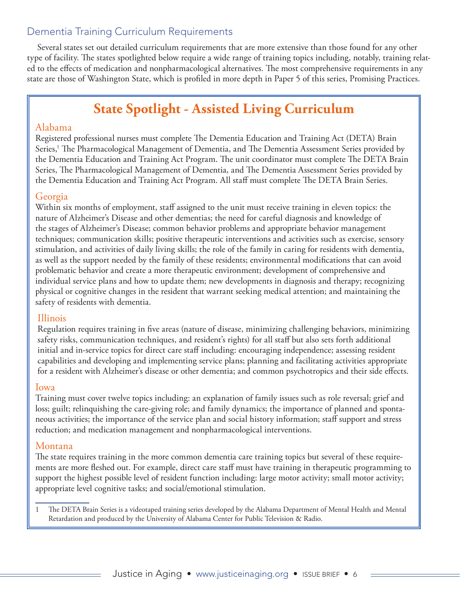### <span id="page-5-0"></span>Dementia Training Curriculum Requirements

Several states set out detailed curriculum requirements that are more extensive than those found for any other type of facility. The states spotlighted below require a wide range of training topics including, notably, training related to the effects of medication and nonpharmacological alternatives. The most comprehensive requirements in any state are those of Washington State, which is profiled in more depth in Paper 5 of this series, Promising Practices.

# **State Spotlight - Assisted Living Curriculum**

#### Alabama

Registered professional nurses must complete The Dementia Education and Training Act (DETA) Brain Series,<sup>1</sup> The Pharmacological Management of Dementia, and The Dementia Assessment Series provided by the Dementia Education and Training Act Program. The unit coordinator must complete The DETA Brain Series, The Pharmacological Management of Dementia, and The Dementia Assessment Series provided by the Dementia Education and Training Act Program. All staff must complete The DETA Brain Series.

#### Georgia

Within six months of employment, staff assigned to the unit must receive training in eleven topics: the nature of Alzheimer's Disease and other dementias; the need for careful diagnosis and knowledge of the stages of Alzheimer's Disease; common behavior problems and appropriate behavior management techniques; communication skills; positive therapeutic interventions and activities such as exercise, sensory stimulation, and activities of daily living skills; the role of the family in caring for residents with dementia, as well as the support needed by the family of these residents; environmental modifications that can avoid problematic behavior and create a more therapeutic environment; development of comprehensive and individual service plans and how to update them; new developments in diagnosis and therapy; recognizing physical or cognitive changes in the resident that warrant seeking medical attention; and maintaining the safety of residents with dementia.

#### Illinois

Regulation requires training in five areas (nature of disease, minimizing challenging behaviors, minimizing safety risks, communication techniques, and resident's rights) for all staff but also sets forth additional initial and in-service topics for direct care staff including: encouraging independence; assessing resident capabilities and developing and implementing service plans; planning and facilitating activities appropriate for a resident with Alzheimer's disease or other dementia; and common psychotropics and their side effects.

#### Iowa

Training must cover twelve topics including: an explanation of family issues such as role reversal; grief and loss; guilt; relinquishing the care-giving role; and family dynamics; the importance of planned and spontaneous activities; the importance of the service plan and social history information; staff support and stress reduction; and medication management and nonpharmacological interventions.

#### Montana

The state requires training in the more common dementia care training topics but several of these requirements are more fleshed out. For example, direct care staff must have training in therapeutic programming to support the highest possible level of resident function including: large motor activity; small motor activity; appropriate level cognitive tasks; and social/emotional stimulation.

1 The DETA Brain Series is a videotaped training series developed by the Alabama Department of Mental Health and Mental Retardation and produced by the University of Alabama Center for Public Television & Radio.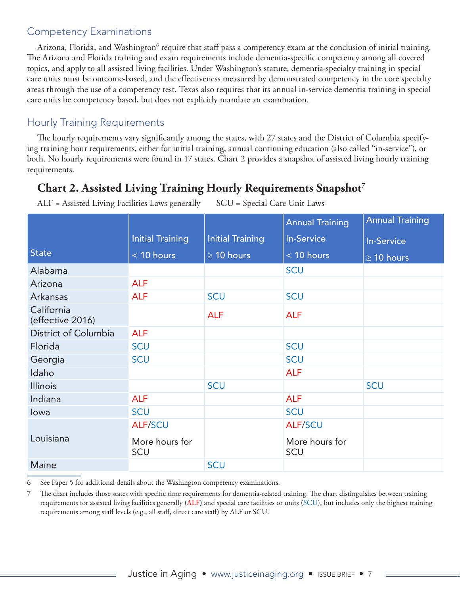### <span id="page-6-0"></span>Competency Examinations

Arizona, Florida, and Washington<sup>6</sup> require that staff pass a competency exam at the conclusion of initial training. The Arizona and Florida training and exam requirements include dementia-specific competency among all covered topics, and apply to all assisted living facilities. Under Washington's statute, dementia-specialty training in special care units must be outcome-based, and the effectiveness measured by demonstrated competency in the core specialty areas through the use of a competency test. Texas also requires that its annual in-service dementia training in special care units be competency based, but does not explicitly mandate an examination.

### Hourly Training Requirements

The hourly requirements vary significantly among the states, with 27 states and the District of Columbia specifying training hour requirements, either for initial training, annual continuing education (also called "in-service"), or both. No hourly requirements were found in 17 states. Chart 2 provides a snapshot of assisted living hourly training requirements.

# **Chart 2. Assisted Living Training Hourly Requirements Snapshot7**

|                                |                         |                         | <b>Annual Training</b> | <b>Annual Training</b> |
|--------------------------------|-------------------------|-------------------------|------------------------|------------------------|
|                                | <b>Initial Training</b> | <b>Initial Training</b> | <b>In-Service</b>      | <b>In-Service</b>      |
| <b>State</b>                   | $< 10$ hours            | $\geq 10$ hours         | $< 10$ hours           | $\geq 10$ hours        |
| Alabama                        |                         |                         | <b>SCU</b>             |                        |
| Arizona                        | <b>ALF</b>              |                         |                        |                        |
| Arkansas                       | <b>ALF</b>              | <b>SCU</b>              | <b>SCU</b>             |                        |
| California<br>(effective 2016) |                         | <b>ALF</b>              | <b>ALF</b>             |                        |
| District of Columbia           | <b>ALF</b>              |                         |                        |                        |
| Florida                        | <b>SCU</b>              |                         | <b>SCU</b>             |                        |
| Georgia                        | <b>SCU</b>              |                         | <b>SCU</b>             |                        |
| Idaho                          |                         |                         | <b>ALF</b>             |                        |
| Illinois                       |                         | <b>SCU</b>              |                        | <b>SCU</b>             |
| Indiana                        | <b>ALF</b>              |                         | <b>ALF</b>             |                        |
| lowa                           | <b>SCU</b>              |                         | <b>SCU</b>             |                        |
|                                | <b>ALF/SCU</b>          |                         | <b>ALF/SCU</b>         |                        |
| Louisiana                      | More hours for<br>SCU   |                         | More hours for<br>SCU  |                        |
| Maine                          |                         | <b>SCU</b>              |                        |                        |

ALF = Assisted Living Facilities Laws generally SCU = Special Care Unit Laws

6 See Paper 5 for additional details about the Washington competency examinations.

7 The chart includes those states with specific time requirements for dementia-related training. The chart distinguishes between training requirements for assisted living facilities generally (ALF) and special care facilities or units (SCU), but includes only the highest training requirements among staff levels (e.g., all staff, direct care staff) by ALF or SCU.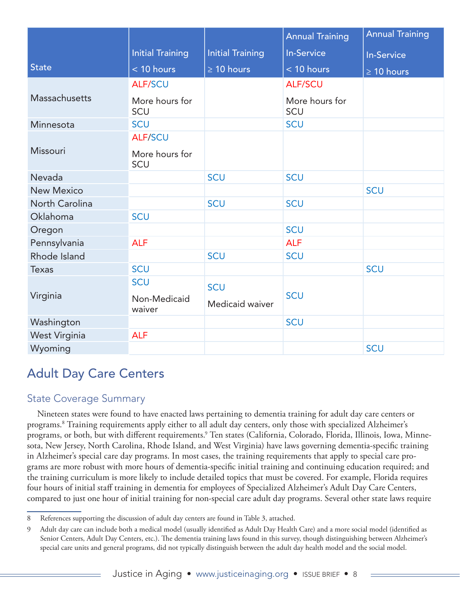<span id="page-7-0"></span>

|                       |                         |                         | <b>Annual Training</b> | <b>Annual Training</b> |
|-----------------------|-------------------------|-------------------------|------------------------|------------------------|
|                       | <b>Initial Training</b> | <b>Initial Training</b> | <b>In-Service</b>      | In-Service             |
| <b>State</b>          | $< 10$ hours            | $\geq 10$ hours         | $< 10$ hours           | $\geq 10$ hours        |
|                       | <b>ALF/SCU</b>          |                         | <b>ALF/SCU</b>         |                        |
| <b>Massachusetts</b>  | More hours for<br>SCU   |                         | More hours for<br>SCU  |                        |
| Minnesota             | <b>SCU</b>              |                         | <b>SCU</b>             |                        |
|                       | <b>ALF/SCU</b>          |                         |                        |                        |
| Missouri              | More hours for<br>SCU   |                         |                        |                        |
| Nevada                |                         | <b>SCU</b>              | <b>SCU</b>             |                        |
| <b>New Mexico</b>     |                         |                         |                        | <b>SCU</b>             |
| <b>North Carolina</b> |                         | <b>SCU</b>              | <b>SCU</b>             |                        |
| Oklahoma              | <b>SCU</b>              |                         |                        |                        |
| Oregon                |                         |                         | <b>SCU</b>             |                        |
| Pennsylvania          | <b>ALF</b>              |                         | <b>ALF</b>             |                        |
| Rhode Island          |                         | <b>SCU</b>              | <b>SCU</b>             |                        |
| <b>Texas</b>          | <b>SCU</b>              |                         |                        | <b>SCU</b>             |
| Virginia              | <b>SCU</b>              | <b>SCU</b>              | <b>SCU</b>             |                        |
|                       | Non-Medicaid<br>waiver  | Medicaid waiver         |                        |                        |
| Washington            |                         |                         | <b>SCU</b>             |                        |
| <b>West Virginia</b>  | <b>ALF</b>              |                         |                        |                        |
| Wyoming               |                         |                         |                        | SCU                    |

# Adult Day Care Centers

#### State Coverage Summary

Nineteen states were found to have enacted laws pertaining to dementia training for adult day care centers or programs.8 Training requirements apply either to all adult day centers, only those with specialized Alzheimer's programs, or both, but with different requirements.<sup>9</sup> Ten states (California, Colorado, Florida, Illinois, Iowa, Minnesota, New Jersey, North Carolina, Rhode Island, and West Virginia) have laws governing dementia-specific training in Alzheimer's special care day programs. In most cases, the training requirements that apply to special care programs are more robust with more hours of dementia-specific initial training and continuing education required; and the training curriculum is more likely to include detailed topics that must be covered. For example, Florida requires four hours of initial staff training in dementia for employees of Specialized Alzheimer's Adult Day Care Centers, compared to just one hour of initial training for non-special care adult day programs. Several other state laws require

<sup>8</sup> References supporting the discussion of adult day centers are found in Table 3, attached.

<sup>9</sup> Adult day care can include both a medical model (usually identified as Adult Day Health Care) and a more social model (identified as Senior Centers, Adult Day Centers, etc.). The dementia training laws found in this survey, though distinguishing between Alzheimer's special care units and general programs, did not typically distinguish between the adult day health model and the social model.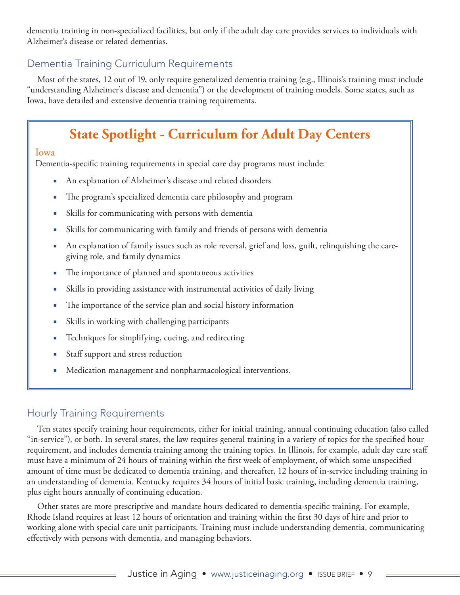<span id="page-8-0"></span>dementia training in non-specialized facilities, but only if the adult day care provides services to individuals with Alzheimer's disease or related dementias.

### Dementia Training Curriculum Requirements

Most of the states, 12 out of 19, only require generalized dementia training (e.g., Illinois's training must include "understanding Alzheimer's disease and dementia") or the development of training models. Some states, such as Iowa, have detailed and extensive dementia training requirements.

# **State Spotlight - Curriculum for Adult Day Centers**

#### Iowa

Dementia-specific training requirements in special care day programs must include:

- An explanation of Alzheimer's disease and related disorders
- The program's specialized dementia care philosophy and program
- Skills for communicating with persons with dementia
- Skills for communicating with family and friends of persons with dementia
- An explanation of family issues such as role reversal, grief and loss, guilt, relinquishing the caregiving role, and family dynamics
- The importance of planned and spontaneous activities
- Skills in providing assistance with instrumental activities of daily living
- The importance of the service plan and social history information
- Skills in working with challenging participants
- Techniques for simplifying, cueing, and redirecting
- Staff support and stress reduction
- Medication management and nonpharmacological interventions.

#### Hourly Training Requirements

Ten states specify training hour requirements, either for initial training, annual continuing education (also called "in-service"), or both. In several states, the law requires general training in a variety of topics for the specified hour requirement, and includes dementia training among the training topics. In Illinois, for example, adult day care staff must have a minimum of 24 hours of training within the first week of employment, of which some unspecified amount of time must be dedicated to dementia training, and thereafter, 12 hours of in-service including training in an understanding of dementia. Kentucky requires 34 hours of initial basic training, including dementia training, plus eight hours annually of continuing education.

Other states are more prescriptive and mandate hours dedicated to dementia-specific training. For example, Rhode Island requires at least 12 hours of orientation and training within the first 30 days of hire and prior to working alone with special care unit participants. Training must include understanding dementia, communicating effectively with persons with dementia, and managing behaviors.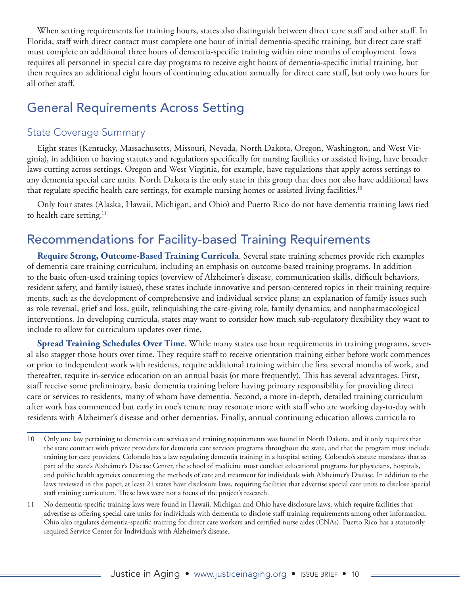<span id="page-9-0"></span>When setting requirements for training hours, states also distinguish between direct care staff and other staff. In Florida, staff with direct contact must complete one hour of initial dementia-specific training, but direct care staff must complete an additional three hours of dementia-specific training within nine months of employment. Iowa requires all personnel in special care day programs to receive eight hours of dementia-specific initial training, but then requires an additional eight hours of continuing education annually for direct care staff, but only two hours for all other staff.

# General Requirements Across Setting

### State Coverage Summary

Eight states (Kentucky, Massachusetts, Missouri, Nevada, North Dakota, Oregon, Washington, and West Virginia), in addition to having statutes and regulations specifically for nursing facilities or assisted living, have broader laws cutting across settings. Oregon and West Virginia, for example, have regulations that apply across settings to any dementia special care units. North Dakota is the only state in this group that does not also have additional laws that regulate specific health care settings, for example nursing homes or assisted living facilities.<sup>10</sup>

Only four states (Alaska, Hawaii, Michigan, and Ohio) and Puerto Rico do not have dementia training laws tied to health care setting.<sup>11</sup>

# Recommendations for Facility-based Training Requirements

**Require Strong, Outcome-Based Training Curricula**. Several state training schemes provide rich examples of dementia care training curriculum, including an emphasis on outcome-based training programs. In addition to the basic often-used training topics (overview of Alzheimer's disease, communication skills, difficult behaviors, resident safety, and family issues), these states include innovative and person-centered topics in their training requirements, such as the development of comprehensive and individual service plans; an explanation of family issues such as role reversal, grief and loss, guilt, relinquishing the care-giving role, family dynamics; and nonpharmacological interventions. In developing curricula, states may want to consider how much sub-regulatory flexibility they want to include to allow for curriculum updates over time.

**Spread Training Schedules Over Time**. While many states use hour requirements in training programs, several also stagger those hours over time. They require staff to receive orientation training either before work commences or prior to independent work with residents, require additional training within the first several months of work, and thereafter, require in-service education on an annual basis (or more frequently). This has several advantages. First, staff receive some preliminary, basic dementia training before having primary responsibility for providing direct care or services to residents, many of whom have dementia. Second, a more in-depth, detailed training curriculum after work has commenced but early in one's tenure may resonate more with staff who are working day-to-day with residents with Alzheimer's disease and other dementias. Finally, annual continuing education allows curricula to

<sup>10</sup> Only one law pertaining to dementia care services and training requirements was found in North Dakota, and it only requires that the state contract with private providers for dementia care services programs throughout the state, and that the program must include training for care providers. Colorado has a law regulating dementia training in a hospital setting. Colorado's statute mandates that as part of the state's Alzheimer's Disease Center, the school of medicine must conduct educational programs for physicians, hospitals, and public health agencies concerning the methods of care and treatment for individuals with Alzheimer's Disease. In addition to the laws reviewed in this paper, at least 21 states have disclosure laws, requiring facilities that advertise special care units to disclose special staff training curriculum. These laws were not a focus of the project's research.

<sup>11</sup> No dementia-specific training laws were found in Hawaii. Michigan and Ohio have disclosure laws, which require facilities that advertise as offering special care units for individuals with dementia to disclose staff training requirements among other information. Ohio also regulates dementia-specific training for direct care workers and certified nurse aides (CNAs). Puerto Rico has a statutorily required Service Center for Individuals with Alzheimer's disease.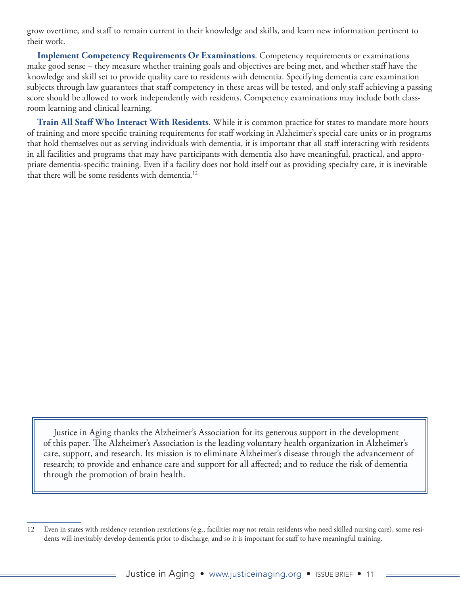grow overtime, and staff to remain current in their knowledge and skills, and learn new information pertinent to their work.

**Implement Competency Requirements Or Examinations**. Competency requirements or examinations make good sense – they measure whether training goals and objectives are being met, and whether staff have the knowledge and skill set to provide quality care to residents with dementia. Specifying dementia care examination subjects through law guarantees that staff competency in these areas will be tested, and only staff achieving a passing score should be allowed to work independently with residents. Competency examinations may include both classroom learning and clinical learning.

**Train All Staff Who Interact With Residents**. While it is common practice for states to mandate more hours of training and more specific training requirements for staff working in Alzheimer's special care units or in programs that hold themselves out as serving individuals with dementia, it is important that all staff interacting with residents in all facilities and programs that may have participants with dementia also have meaningful, practical, and appropriate dementia-specific training. Even if a facility does not hold itself out as providing specialty care, it is inevitable that there will be some residents with dementia.<sup>12</sup>

Justice in Aging thanks the Alzheimer's Association for its generous support in the development of this paper. The Alzheimer's Association is the leading voluntary health organization in Alzheimer's care, support, and research. Its mission is to eliminate Alzheimer's disease through the advancement of research; to provide and enhance care and support for all affected; and to reduce the risk of dementia through the promotion of brain health.

<sup>12</sup> Even in states with residency retention restrictions (e.g., facilities may not retain residents who need skilled nursing care), some residents will inevitably develop dementia prior to discharge, and so it is important for staff to have meaningful training.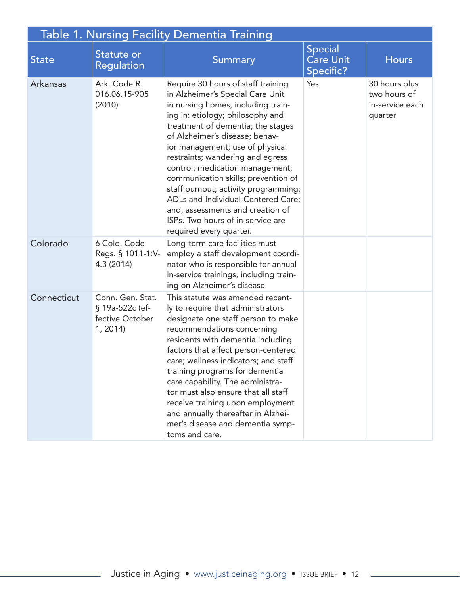|              | <b>Table 1. Nursing Facility Dementia Training</b>                 |                                                                                                                                                                                                                                                                                                                                                                                                                                                                                                                                                            |                                                 |                                                             |  |  |
|--------------|--------------------------------------------------------------------|------------------------------------------------------------------------------------------------------------------------------------------------------------------------------------------------------------------------------------------------------------------------------------------------------------------------------------------------------------------------------------------------------------------------------------------------------------------------------------------------------------------------------------------------------------|-------------------------------------------------|-------------------------------------------------------------|--|--|
| <b>State</b> | Statute or<br><b>Regulation</b>                                    | Summary                                                                                                                                                                                                                                                                                                                                                                                                                                                                                                                                                    | <b>Special</b><br><b>Care Unit</b><br>Specific? | <b>Hours</b>                                                |  |  |
| Arkansas     | Ark. Code R.<br>016.06.15-905<br>(2010)                            | Require 30 hours of staff training<br>in Alzheimer's Special Care Unit<br>in nursing homes, including train-<br>ing in: etiology; philosophy and<br>treatment of dementia; the stages<br>of Alzheimer's disease; behav-<br>ior management; use of physical<br>restraints; wandering and egress<br>control; medication management;<br>communication skills; prevention of<br>staff burnout; activity programming;<br>ADLs and Individual-Centered Care;<br>and, assessments and creation of<br>ISPs. Two hours of in-service are<br>required every quarter. | Yes                                             | 30 hours plus<br>two hours of<br>in-service each<br>quarter |  |  |
| Colorado     | 6 Colo. Code<br>Regs. § 1011-1:V-<br>4.3 (2014)                    | Long-term care facilities must<br>employ a staff development coordi-<br>nator who is responsible for annual<br>in-service trainings, including train-<br>ing on Alzheimer's disease.                                                                                                                                                                                                                                                                                                                                                                       |                                                 |                                                             |  |  |
| Connecticut  | Conn. Gen. Stat.<br>§ 19a-522c (ef-<br>fective October<br>1, 2014) | This statute was amended recent-<br>ly to require that administrators<br>designate one staff person to make<br>recommendations concerning<br>residents with dementia including<br>factors that affect person-centered<br>care; wellness indicators; and staff<br>training programs for dementia<br>care capability. The administra-<br>tor must also ensure that all staff<br>receive training upon employment<br>and annually thereafter in Alzhei-<br>mer's disease and dementia symp-<br>toms and care.                                                 |                                                 |                                                             |  |  |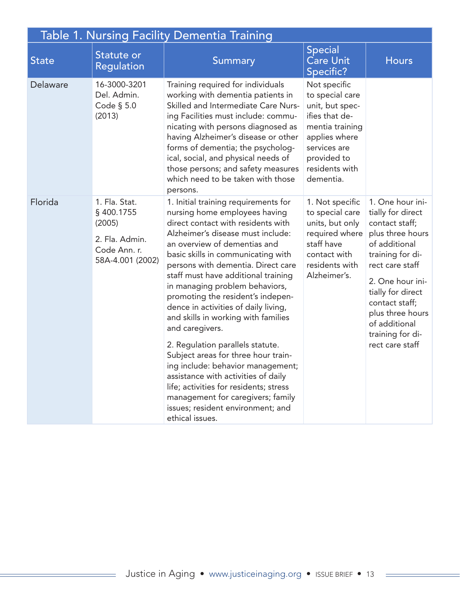| <b>Table 1. Nursing Facility Dementia Training</b> |                                                                                             |                                                                                                                                                                                                                                                                                                                                                                                                                                                                                                                                                                                                                                                                                                                                                                            |                                                                                                                                                                        |                                                                                                                                                                                                                                                                            |  |
|----------------------------------------------------|---------------------------------------------------------------------------------------------|----------------------------------------------------------------------------------------------------------------------------------------------------------------------------------------------------------------------------------------------------------------------------------------------------------------------------------------------------------------------------------------------------------------------------------------------------------------------------------------------------------------------------------------------------------------------------------------------------------------------------------------------------------------------------------------------------------------------------------------------------------------------------|------------------------------------------------------------------------------------------------------------------------------------------------------------------------|----------------------------------------------------------------------------------------------------------------------------------------------------------------------------------------------------------------------------------------------------------------------------|--|
| <b>State</b>                                       | Statute or<br>Regulation                                                                    | Summary                                                                                                                                                                                                                                                                                                                                                                                                                                                                                                                                                                                                                                                                                                                                                                    | <b>Special</b><br><b>Care Unit</b><br>Specific?                                                                                                                        | <b>Hours</b>                                                                                                                                                                                                                                                               |  |
| Delaware                                           | 16-3000-3201<br>Del. Admin.<br>Code $§$ 5.0<br>(2013)                                       | Training required for individuals<br>working with dementia patients in<br>Skilled and Intermediate Care Nurs-<br>ing Facilities must include: commu-<br>nicating with persons diagnosed as<br>having Alzheimer's disease or other<br>forms of dementia; the psycholog-<br>ical, social, and physical needs of<br>those persons; and safety measures<br>which need to be taken with those<br>persons.                                                                                                                                                                                                                                                                                                                                                                       | Not specific<br>to special care<br>unit, but spec-<br>ifies that de-<br>mentia training<br>applies where<br>services are<br>provided to<br>residents with<br>dementia. |                                                                                                                                                                                                                                                                            |  |
| Florida                                            | 1. Fla. Stat.<br>§ 400.1755<br>(2005)<br>2. Fla. Admin.<br>Code Ann. r.<br>58A-4.001 (2002) | 1. Initial training requirements for<br>nursing home employees having<br>direct contact with residents with<br>Alzheimer's disease must include:<br>an overview of dementias and<br>basic skills in communicating with<br>persons with dementia. Direct care<br>staff must have additional training<br>in managing problem behaviors,<br>promoting the resident's indepen-<br>dence in activities of daily living,<br>and skills in working with families<br>and caregivers.<br>2. Regulation parallels statute.<br>Subject areas for three hour train-<br>ing include: behavior management;<br>assistance with activities of daily<br>life; activities for residents; stress<br>management for caregivers; family<br>issues; resident environment; and<br>ethical issues. | 1. Not specific<br>to special care<br>units, but only<br>required where<br>staff have<br>contact with<br>residents with<br>Alzheimer's.                                | 1. One hour ini-<br>tially for direct<br>contact staff;<br>plus three hours<br>of additional<br>training for di-<br>rect care staff<br>2. One hour ini-<br>tially for direct<br>contact staff;<br>plus three hours<br>of additional<br>training for di-<br>rect care staff |  |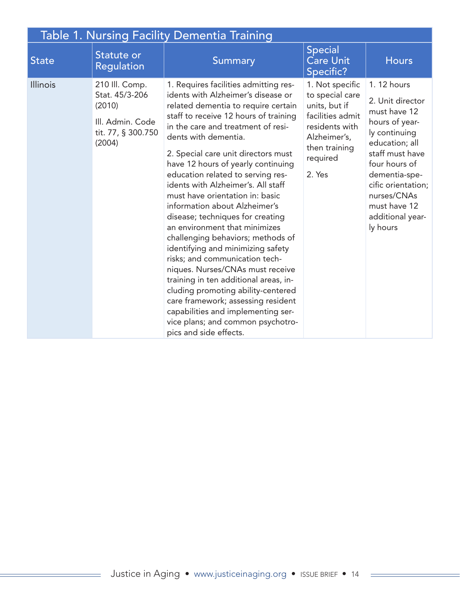|              | <b>Table 1. Nursing Facility Dementia Training</b>                                             |                                                                                                                                                                                                                                                                                                                                                                                                                                                                                                                                                                                                                                                                                                                                                                                                                                                                                                      |                                                                                                                                                  |                                                                                                                                                                                                                                                |  |  |
|--------------|------------------------------------------------------------------------------------------------|------------------------------------------------------------------------------------------------------------------------------------------------------------------------------------------------------------------------------------------------------------------------------------------------------------------------------------------------------------------------------------------------------------------------------------------------------------------------------------------------------------------------------------------------------------------------------------------------------------------------------------------------------------------------------------------------------------------------------------------------------------------------------------------------------------------------------------------------------------------------------------------------------|--------------------------------------------------------------------------------------------------------------------------------------------------|------------------------------------------------------------------------------------------------------------------------------------------------------------------------------------------------------------------------------------------------|--|--|
| <b>State</b> | Statute or<br>Regulation                                                                       | <b>Summary</b>                                                                                                                                                                                                                                                                                                                                                                                                                                                                                                                                                                                                                                                                                                                                                                                                                                                                                       | <b>Special</b><br><b>Care Unit</b><br>Specific?                                                                                                  | <b>Hours</b>                                                                                                                                                                                                                                   |  |  |
| Illinois     | 210 Ill. Comp.<br>Stat. 45/3-206<br>(2010)<br>III. Admin. Code<br>tit. 77, § 300.750<br>(2004) | 1. Requires facilities admitting res-<br>idents with Alzheimer's disease or<br>related dementia to require certain<br>staff to receive 12 hours of training<br>in the care and treatment of resi-<br>dents with dementia.<br>2. Special care unit directors must<br>have 12 hours of yearly continuing<br>education related to serving res-<br>idents with Alzheimer's. All staff<br>must have orientation in: basic<br>information about Alzheimer's<br>disease; techniques for creating<br>an environment that minimizes<br>challenging behaviors; methods of<br>identifying and minimizing safety<br>risks; and communication tech-<br>niques. Nurses/CNAs must receive<br>training in ten additional areas, in-<br>cluding promoting ability-centered<br>care framework; assessing resident<br>capabilities and implementing ser-<br>vice plans; and common psychotro-<br>pics and side effects. | 1. Not specific<br>to special care<br>units, but if<br>facilities admit<br>residents with<br>Alzheimer's,<br>then training<br>required<br>2. Yes | 1. 12 hours<br>2. Unit director<br>must have 12<br>hours of year-<br>ly continuing<br>education; all<br>staff must have<br>four hours of<br>dementia-spe-<br>cific orientation;<br>nurses/CNAs<br>must have 12<br>additional year-<br>ly hours |  |  |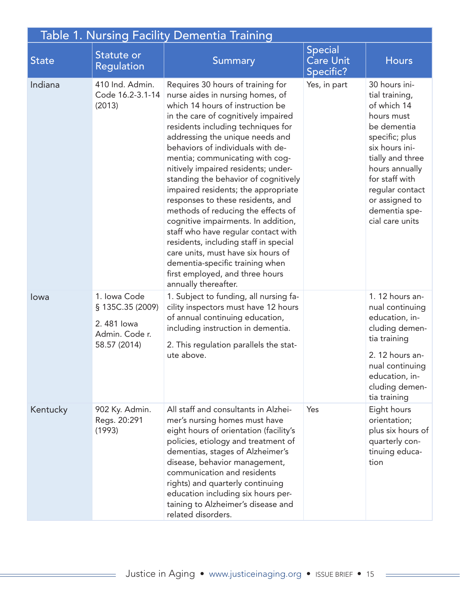| <b>Table 1. Nursing Facility Dementia Training</b> |                                                                                  |                                                                                                                                                                                                                                                                                                                                                                                                                                                                                                                                                                                                                                                                                                                                                               |                                          |                                                                                                                                                                                                                                                  |
|----------------------------------------------------|----------------------------------------------------------------------------------|---------------------------------------------------------------------------------------------------------------------------------------------------------------------------------------------------------------------------------------------------------------------------------------------------------------------------------------------------------------------------------------------------------------------------------------------------------------------------------------------------------------------------------------------------------------------------------------------------------------------------------------------------------------------------------------------------------------------------------------------------------------|------------------------------------------|--------------------------------------------------------------------------------------------------------------------------------------------------------------------------------------------------------------------------------------------------|
| <b>State</b>                                       | Statute or<br><b>Regulation</b>                                                  | Summary                                                                                                                                                                                                                                                                                                                                                                                                                                                                                                                                                                                                                                                                                                                                                       | Special<br><b>Care Unit</b><br>Specific? | <b>Hours</b>                                                                                                                                                                                                                                     |
| Indiana                                            | 410 Ind. Admin.<br>Code 16.2-3.1-14<br>(2013)                                    | Requires 30 hours of training for<br>nurse aides in nursing homes, of<br>which 14 hours of instruction be<br>in the care of cognitively impaired<br>residents including techniques for<br>addressing the unique needs and<br>behaviors of individuals with de-<br>mentia; communicating with cog-<br>nitively impaired residents; under-<br>standing the behavior of cognitively<br>impaired residents; the appropriate<br>responses to these residents, and<br>methods of reducing the effects of<br>cognitive impairments. In addition,<br>staff who have regular contact with<br>residents, including staff in special<br>care units, must have six hours of<br>dementia-specific training when<br>first employed, and three hours<br>annually thereafter. | Yes, in part                             | 30 hours ini-<br>tial training,<br>of which 14<br>hours must<br>be dementia<br>specific; plus<br>six hours ini-<br>tially and three<br>hours annually<br>for staff with<br>regular contact<br>or assigned to<br>dementia spe-<br>cial care units |
| lowa                                               | 1. Iowa Code<br>§ 135C.35 (2009)<br>2.481 lowa<br>Admin. Code r.<br>58.57 (2014) | 1. Subject to funding, all nursing fa-<br>cility inspectors must have 12 hours<br>of annual continuing education,<br>including instruction in dementia.<br>2. This regulation parallels the stat-<br>ute above.                                                                                                                                                                                                                                                                                                                                                                                                                                                                                                                                               |                                          | 1. 12 hours an-<br>nual continuing<br>education, in-<br>cluding demen-<br>tia training<br>2. 12 hours an-<br>nual continuing<br>education, in-<br>cluding demen-<br>tia training                                                                 |
| Kentucky                                           | 902 Ky. Admin.<br>Regs. 20:291<br>(1993)                                         | All staff and consultants in Alzhei-<br>mer's nursing homes must have<br>eight hours of orientation (facility's<br>policies, etiology and treatment of<br>dementias, stages of Alzheimer's<br>disease, behavior management,<br>communication and residents<br>rights) and quarterly continuing<br>education including six hours per-<br>taining to Alzheimer's disease and<br>related disorders.                                                                                                                                                                                                                                                                                                                                                              | Yes                                      | Eight hours<br>orientation;<br>plus six hours of<br>quarterly con-<br>tinuing educa-<br>tion                                                                                                                                                     |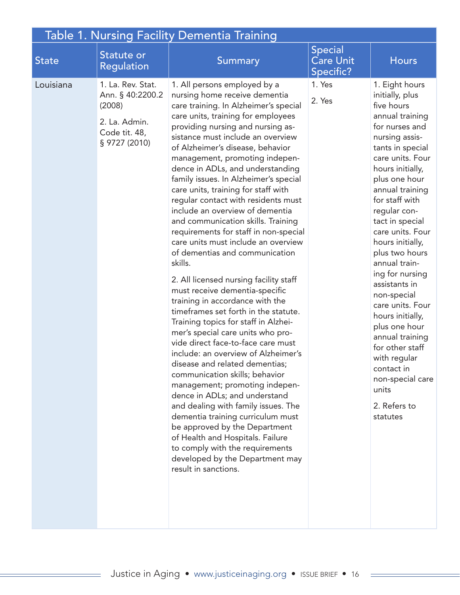|              | <b>Table 1. Nursing Facility Dementia Training</b>                                                 |                                                                                                                                                                                                                                                                                                                                                                                                                                                                                                                                                                                                                                                                                                                                                                                                                                                                                                                                                                                                                                                                                                                                                                                                                                                                                                                                                                      |                                                 |                                                                                                                                                                                                                                                                                                                                                                                                                                                                                                                                                                                 |  |
|--------------|----------------------------------------------------------------------------------------------------|----------------------------------------------------------------------------------------------------------------------------------------------------------------------------------------------------------------------------------------------------------------------------------------------------------------------------------------------------------------------------------------------------------------------------------------------------------------------------------------------------------------------------------------------------------------------------------------------------------------------------------------------------------------------------------------------------------------------------------------------------------------------------------------------------------------------------------------------------------------------------------------------------------------------------------------------------------------------------------------------------------------------------------------------------------------------------------------------------------------------------------------------------------------------------------------------------------------------------------------------------------------------------------------------------------------------------------------------------------------------|-------------------------------------------------|---------------------------------------------------------------------------------------------------------------------------------------------------------------------------------------------------------------------------------------------------------------------------------------------------------------------------------------------------------------------------------------------------------------------------------------------------------------------------------------------------------------------------------------------------------------------------------|--|
| <b>State</b> | Statute or<br><b>Regulation</b>                                                                    | Summary                                                                                                                                                                                                                                                                                                                                                                                                                                                                                                                                                                                                                                                                                                                                                                                                                                                                                                                                                                                                                                                                                                                                                                                                                                                                                                                                                              | <b>Special</b><br><b>Care Unit</b><br>Specific? | <b>Hours</b>                                                                                                                                                                                                                                                                                                                                                                                                                                                                                                                                                                    |  |
| Louisiana    | 1. La. Rev. Stat.<br>Ann. § 40:2200.2<br>(2008)<br>2. La. Admin.<br>Code tit. 48,<br>§ 9727 (2010) | 1. All persons employed by a<br>nursing home receive dementia<br>care training. In Alzheimer's special<br>care units, training for employees<br>providing nursing and nursing as-<br>sistance must include an overview<br>of Alzheimer's disease, behavior<br>management, promoting indepen-<br>dence in ADLs, and understanding<br>family issues. In Alzheimer's special<br>care units, training for staff with<br>regular contact with residents must<br>include an overview of dementia<br>and communication skills. Training<br>requirements for staff in non-special<br>care units must include an overview<br>of dementias and communication<br>skills.<br>2. All licensed nursing facility staff<br>must receive dementia-specific<br>training in accordance with the<br>timeframes set forth in the statute.<br>Training topics for staff in Alzhei-<br>mer's special care units who pro-<br>vide direct face-to-face care must<br>include: an overview of Alzheimer's<br>disease and related dementias;<br>communication skills; behavior<br>management; promoting indepen-<br>dence in ADLs; and understand<br>and dealing with family issues. The<br>dementia training curriculum must<br>be approved by the Department<br>of Health and Hospitals. Failure<br>to comply with the requirements<br>developed by the Department may<br>result in sanctions. | 1. Yes<br>2. Yes                                | 1. Eight hours<br>initially, plus<br>five hours<br>annual training<br>for nurses and<br>nursing assis-<br>tants in special<br>care units. Four<br>hours initially,<br>plus one hour<br>annual training<br>for staff with<br>regular con-<br>tact in special<br>care units. Four<br>hours initially,<br>plus two hours<br>annual train-<br>ing for nursing<br>assistants in<br>non-special<br>care units. Four<br>hours initially,<br>plus one hour<br>annual training<br>for other staff<br>with regular<br>contact in<br>non-special care<br>units<br>2. Refers to<br>statutes |  |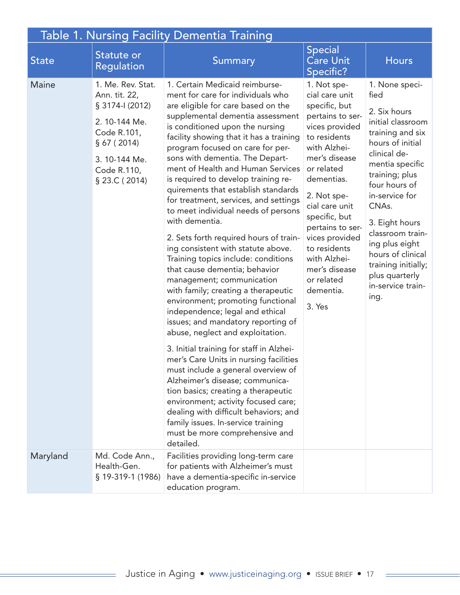| <b>Table 1. Nursing Facility Dementia Training</b> |                                                                                                                                                       |                                                                                                                                                                                                                                                                                                                                                                                                                                                                                                                                                                                                                                                                                                                                                                                                                                                                                                                                                                                                                                                                                                                                                                                                                                                                                  |                                                                                                                                                                                                                                                                                                                                                 |                                                                                                                                                                                                                                                                                                                                                         |  |
|----------------------------------------------------|-------------------------------------------------------------------------------------------------------------------------------------------------------|----------------------------------------------------------------------------------------------------------------------------------------------------------------------------------------------------------------------------------------------------------------------------------------------------------------------------------------------------------------------------------------------------------------------------------------------------------------------------------------------------------------------------------------------------------------------------------------------------------------------------------------------------------------------------------------------------------------------------------------------------------------------------------------------------------------------------------------------------------------------------------------------------------------------------------------------------------------------------------------------------------------------------------------------------------------------------------------------------------------------------------------------------------------------------------------------------------------------------------------------------------------------------------|-------------------------------------------------------------------------------------------------------------------------------------------------------------------------------------------------------------------------------------------------------------------------------------------------------------------------------------------------|---------------------------------------------------------------------------------------------------------------------------------------------------------------------------------------------------------------------------------------------------------------------------------------------------------------------------------------------------------|--|
| <b>State</b>                                       | Statute or<br><b>Regulation</b>                                                                                                                       | Summary                                                                                                                                                                                                                                                                                                                                                                                                                                                                                                                                                                                                                                                                                                                                                                                                                                                                                                                                                                                                                                                                                                                                                                                                                                                                          | Special<br><b>Care Unit</b><br>Specific?                                                                                                                                                                                                                                                                                                        | <b>Hours</b>                                                                                                                                                                                                                                                                                                                                            |  |
| Maine                                              | 1. Me. Rev. Stat.<br>Ann. tit. 22,<br>§ 3174-I (2012)<br>2. 10-144 Me.<br>Code R.101,<br>§ 67 (2014)<br>3. 10-144 Me.<br>Code R.110,<br>§ 23.C (2014) | 1. Certain Medicaid reimburse-<br>ment for care for individuals who<br>are eligible for care based on the<br>supplemental dementia assessment<br>is conditioned upon the nursing<br>facility showing that it has a training<br>program focused on care for per-<br>sons with dementia. The Depart-<br>ment of Health and Human Services<br>is required to develop training re-<br>quirements that establish standards<br>for treatment, services, and settings<br>to meet individual needs of persons<br>with dementia.<br>2. Sets forth required hours of train-<br>ing consistent with statute above.<br>Training topics include: conditions<br>that cause dementia; behavior<br>management; communication<br>with family; creating a therapeutic<br>environment; promoting functional<br>independence; legal and ethical<br>issues; and mandatory reporting of<br>abuse, neglect and exploitation.<br>3. Initial training for staff in Alzhei-<br>mer's Care Units in nursing facilities<br>must include a general overview of<br>Alzheimer's disease; communica-<br>tion basics; creating a therapeutic<br>environment; activity focused care;<br>dealing with difficult behaviors; and<br>family issues. In-service training<br>must be more comprehensive and<br>detailed. | 1. Not spe-<br>cial care unit<br>specific, but<br>pertains to ser-<br>vices provided<br>to residents<br>with Alzhei-<br>mer's disease<br>or related<br>dementias.<br>2. Not spe-<br>cial care unit<br>specific, but<br>pertains to ser-<br>vices provided<br>to residents<br>with Alzhei-<br>mer's disease<br>or related<br>dementia.<br>3. Yes | 1. None speci-<br>fied<br>2. Six hours<br>initial classroom<br>training and six<br>hours of initial<br>clinical de-<br>mentia specific<br>training; plus<br>four hours of<br>in-service for<br>CNAs.<br>3. Eight hours<br>classroom train-<br>ing plus eight<br>hours of clinical<br>training initially;<br>plus quarterly<br>in-service train-<br>ing. |  |
| Maryland                                           | Md. Code Ann.,<br>Health-Gen.<br>$§$ 19-319-1 (1986)                                                                                                  | Facilities providing long-term care<br>for patients with Alzheimer's must<br>have a dementia-specific in-service<br>education program.                                                                                                                                                                                                                                                                                                                                                                                                                                                                                                                                                                                                                                                                                                                                                                                                                                                                                                                                                                                                                                                                                                                                           |                                                                                                                                                                                                                                                                                                                                                 |                                                                                                                                                                                                                                                                                                                                                         |  |

 $\equiv$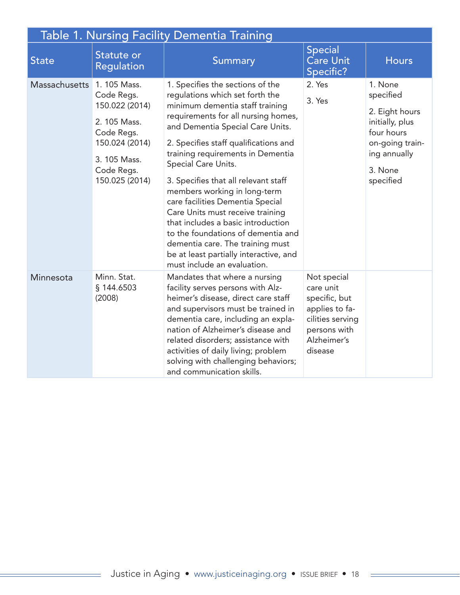|                      | <b>Table 1. Nursing Facility Dementia Training</b>                                                                                           |                                                                                                                                                                                                                                                                                                                                                                                                                                                                                                                                                                                                                                 |                                                                                                                           |                                                                                                                                    |  |  |
|----------------------|----------------------------------------------------------------------------------------------------------------------------------------------|---------------------------------------------------------------------------------------------------------------------------------------------------------------------------------------------------------------------------------------------------------------------------------------------------------------------------------------------------------------------------------------------------------------------------------------------------------------------------------------------------------------------------------------------------------------------------------------------------------------------------------|---------------------------------------------------------------------------------------------------------------------------|------------------------------------------------------------------------------------------------------------------------------------|--|--|
| <b>State</b>         | Statute or<br><b>Regulation</b>                                                                                                              | Summary                                                                                                                                                                                                                                                                                                                                                                                                                                                                                                                                                                                                                         | <b>Special</b><br><b>Care Unit</b><br>Specific?                                                                           | <b>Hours</b>                                                                                                                       |  |  |
| <b>Massachusetts</b> | 1. 105 Mass.<br>Code Regs.<br>150.022 (2014)<br>2. 105 Mass.<br>Code Regs.<br>150.024 (2014)<br>3. 105 Mass.<br>Code Regs.<br>150.025 (2014) | 1. Specifies the sections of the<br>regulations which set forth the<br>minimum dementia staff training<br>requirements for all nursing homes,<br>and Dementia Special Care Units.<br>2. Specifies staff qualifications and<br>training requirements in Dementia<br>Special Care Units.<br>3. Specifies that all relevant staff<br>members working in long-term<br>care facilities Dementia Special<br>Care Units must receive training<br>that includes a basic introduction<br>to the foundations of dementia and<br>dementia care. The training must<br>be at least partially interactive, and<br>must include an evaluation. | 2. Yes<br>3. Yes                                                                                                          | 1. None<br>specified<br>2. Eight hours<br>initially, plus<br>four hours<br>on-going train-<br>ing annually<br>3. None<br>specified |  |  |
| Minnesota            | Minn. Stat.<br>§ 144.6503<br>(2008)                                                                                                          | Mandates that where a nursing<br>facility serves persons with Alz-<br>heimer's disease, direct care staff<br>and supervisors must be trained in<br>dementia care, including an expla-<br>nation of Alzheimer's disease and<br>related disorders; assistance with<br>activities of daily living; problem<br>solving with challenging behaviors;<br>and communication skills.                                                                                                                                                                                                                                                     | Not special<br>care unit<br>specific, but<br>applies to fa-<br>cilities serving<br>persons with<br>Alzheimer's<br>disease |                                                                                                                                    |  |  |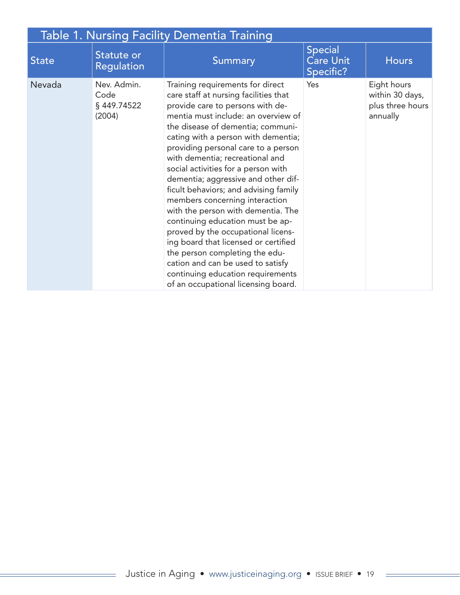| <b>Table 1. Nursing Facility Dementia Training</b> |                                             |                                                                                                                                                                                                                                                                                                                                                                                                                                                                                                                                                                                                                                                                                                                                                                                |                                                 |                                                                |  |
|----------------------------------------------------|---------------------------------------------|--------------------------------------------------------------------------------------------------------------------------------------------------------------------------------------------------------------------------------------------------------------------------------------------------------------------------------------------------------------------------------------------------------------------------------------------------------------------------------------------------------------------------------------------------------------------------------------------------------------------------------------------------------------------------------------------------------------------------------------------------------------------------------|-------------------------------------------------|----------------------------------------------------------------|--|
| <b>State</b>                                       | Statute or<br><b>Regulation</b>             | <b>Summary</b>                                                                                                                                                                                                                                                                                                                                                                                                                                                                                                                                                                                                                                                                                                                                                                 | <b>Special</b><br><b>Care Unit</b><br>Specific? | <b>Hours</b>                                                   |  |
| <b>Nevada</b>                                      | Nev. Admin.<br>Code<br>§449.74522<br>(2004) | Training requirements for direct<br>care staff at nursing facilities that<br>provide care to persons with de-<br>mentia must include: an overview of<br>the disease of dementia; communi-<br>cating with a person with dementia;<br>providing personal care to a person<br>with dementia; recreational and<br>social activities for a person with<br>dementia; aggressive and other dif-<br>ficult behaviors; and advising family<br>members concerning interaction<br>with the person with dementia. The<br>continuing education must be ap-<br>proved by the occupational licens-<br>ing board that licensed or certified<br>the person completing the edu-<br>cation and can be used to satisfy<br>continuing education requirements<br>of an occupational licensing board. | Yes                                             | Eight hours<br>within 30 days,<br>plus three hours<br>annually |  |

Ξ

 $\equiv$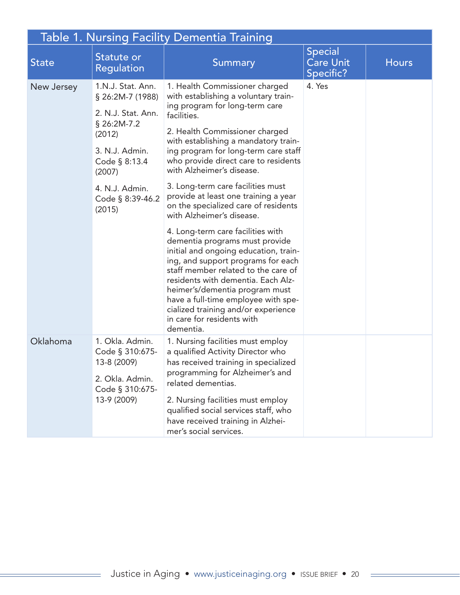| <b>Table 1. Nursing Facility Dementia Training</b> |                                                                                                                                                                                     |                                                                                                                                                                                                                                                                                                                                                                                                                                                                                                                                                                                                                                                                                                                                                                                                                                                                |                                                 |              |  |
|----------------------------------------------------|-------------------------------------------------------------------------------------------------------------------------------------------------------------------------------------|----------------------------------------------------------------------------------------------------------------------------------------------------------------------------------------------------------------------------------------------------------------------------------------------------------------------------------------------------------------------------------------------------------------------------------------------------------------------------------------------------------------------------------------------------------------------------------------------------------------------------------------------------------------------------------------------------------------------------------------------------------------------------------------------------------------------------------------------------------------|-------------------------------------------------|--------------|--|
| <b>State</b>                                       | Statute or<br><b>Regulation</b>                                                                                                                                                     | <b>Summary</b>                                                                                                                                                                                                                                                                                                                                                                                                                                                                                                                                                                                                                                                                                                                                                                                                                                                 | <b>Special</b><br><b>Care Unit</b><br>Specific? | <b>Hours</b> |  |
| New Jersey                                         | 1.N.J. Stat. Ann.<br>§ 26:2M-7 (1988)<br>2. N.J. Stat. Ann.<br>$§$ 26:2M-7.2<br>(2012)<br>3. N.J. Admin.<br>Code § 8:13.4<br>(2007)<br>4. N.J. Admin.<br>Code § 8:39-46.2<br>(2015) | 1. Health Commissioner charged<br>with establishing a voluntary train-<br>ing program for long-term care<br>facilities.<br>2. Health Commissioner charged<br>with establishing a mandatory train-<br>ing program for long-term care staff<br>who provide direct care to residents<br>with Alzheimer's disease.<br>3. Long-term care facilities must<br>provide at least one training a year<br>on the specialized care of residents<br>with Alzheimer's disease.<br>4. Long-term care facilities with<br>dementia programs must provide<br>initial and ongoing education, train-<br>ing, and support programs for each<br>staff member related to the care of<br>residents with dementia. Each Alz-<br>heimer's/dementia program must<br>have a full-time employee with spe-<br>cialized training and/or experience<br>in care for residents with<br>dementia. | 4. Yes                                          |              |  |
| Oklahoma                                           | 1. Okla. Admin.<br>Code § 310:675-<br>13-8 (2009)<br>2. Okla. Admin.<br>Code § 310:675-<br>13-9 (2009)                                                                              | 1. Nursing facilities must employ<br>a qualified Activity Director who<br>has received training in specialized<br>programming for Alzheimer's and<br>related dementias.<br>2. Nursing facilities must employ<br>qualified social services staff, who<br>have received training in Alzhei-<br>mer's social services.                                                                                                                                                                                                                                                                                                                                                                                                                                                                                                                                            |                                                 |              |  |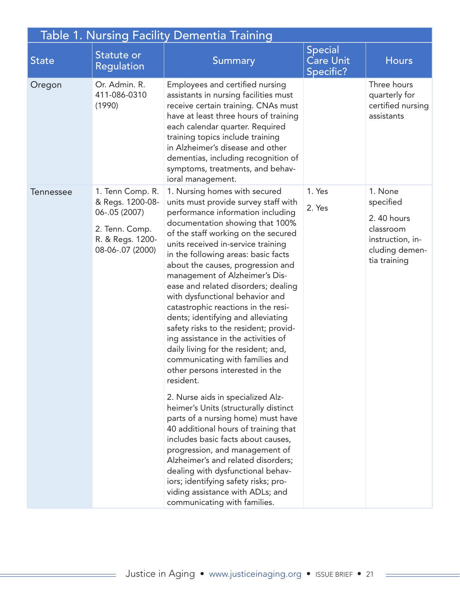| <b>Table 1. Nursing Facility Dementia Training</b> |                                                                                                                 |                                                                                                                                                                                                                                                                                                                                                                                                                                                                                                                                                                                                                                                                                                                                                                                                                                                                                                                                                                                                                                                                                                                                      |                                                 |                                                                                                       |  |
|----------------------------------------------------|-----------------------------------------------------------------------------------------------------------------|--------------------------------------------------------------------------------------------------------------------------------------------------------------------------------------------------------------------------------------------------------------------------------------------------------------------------------------------------------------------------------------------------------------------------------------------------------------------------------------------------------------------------------------------------------------------------------------------------------------------------------------------------------------------------------------------------------------------------------------------------------------------------------------------------------------------------------------------------------------------------------------------------------------------------------------------------------------------------------------------------------------------------------------------------------------------------------------------------------------------------------------|-------------------------------------------------|-------------------------------------------------------------------------------------------------------|--|
| <b>State</b>                                       | Statute or<br><b>Regulation</b>                                                                                 | Summary                                                                                                                                                                                                                                                                                                                                                                                                                                                                                                                                                                                                                                                                                                                                                                                                                                                                                                                                                                                                                                                                                                                              | <b>Special</b><br><b>Care Unit</b><br>Specific? | <b>Hours</b>                                                                                          |  |
| Oregon                                             | Or. Admin. R.<br>411-086-0310<br>(1990)                                                                         | Employees and certified nursing<br>assistants in nursing facilities must<br>receive certain training. CNAs must<br>have at least three hours of training<br>each calendar quarter. Required<br>training topics include training<br>in Alzheimer's disease and other<br>dementias, including recognition of<br>symptoms, treatments, and behav-<br>ioral management.                                                                                                                                                                                                                                                                                                                                                                                                                                                                                                                                                                                                                                                                                                                                                                  |                                                 | Three hours<br>quarterly for<br>certified nursing<br>assistants                                       |  |
| Tennessee                                          | 1. Tenn Comp. R.<br>& Regs. 1200-08-<br>06-.05 (2007)<br>2. Tenn. Comp.<br>R. & Regs. 1200-<br>08-06-.07 (2000) | 1. Nursing homes with secured<br>units must provide survey staff with<br>performance information including<br>documentation showing that 100%<br>of the staff working on the secured<br>units received in-service training<br>in the following areas: basic facts<br>about the causes, progression and<br>management of Alzheimer's Dis-<br>ease and related disorders; dealing<br>with dysfunctional behavior and<br>catastrophic reactions in the resi-<br>dents; identifying and alleviating<br>safety risks to the resident; provid-<br>ing assistance in the activities of<br>daily living for the resident; and,<br>communicating with families and<br>other persons interested in the<br>resident.<br>2. Nurse aids in specialized Alz-<br>heimer's Units (structurally distinct<br>parts of a nursing home) must have<br>40 additional hours of training that<br>includes basic facts about causes,<br>progression, and management of<br>Alzheimer's and related disorders;<br>dealing with dysfunctional behav-<br>iors; identifying safety risks; pro-<br>viding assistance with ADLs; and<br>communicating with families. | 1. Yes<br>2. Yes                                | 1. None<br>specified<br>2.40 hours<br>classroom<br>instruction, in-<br>cluding demen-<br>tia training |  |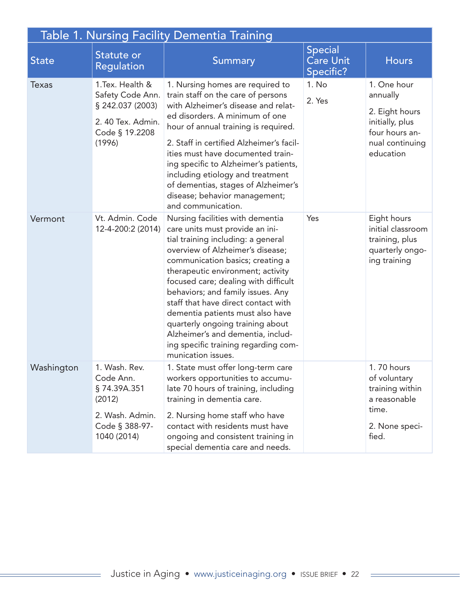| <b>Table 1. Nursing Facility Dementia Training</b> |                                                                                                           |                                                                                                                                                                                                                                                                                                                                                                                                                                                                                                                       |                                                 |                                                                                                                |  |
|----------------------------------------------------|-----------------------------------------------------------------------------------------------------------|-----------------------------------------------------------------------------------------------------------------------------------------------------------------------------------------------------------------------------------------------------------------------------------------------------------------------------------------------------------------------------------------------------------------------------------------------------------------------------------------------------------------------|-------------------------------------------------|----------------------------------------------------------------------------------------------------------------|--|
| State                                              | Statute or<br><b>Regulation</b>                                                                           | Summary                                                                                                                                                                                                                                                                                                                                                                                                                                                                                                               | <b>Special</b><br><b>Care Unit</b><br>Specific? | <b>Hours</b>                                                                                                   |  |
| <b>Texas</b>                                       | 1. Tex. Health &<br>Safety Code Ann.<br>§ 242.037 (2003)<br>2. 40 Tex. Admin.<br>Code § 19.2208<br>(1996) | 1. Nursing homes are required to<br>train staff on the care of persons<br>with Alzheimer's disease and relat-<br>ed disorders. A minimum of one<br>hour of annual training is required.<br>2. Staff in certified Alzheimer's facil-<br>ities must have documented train-<br>ing specific to Alzheimer's patients,<br>including etiology and treatment<br>of dementias, stages of Alzheimer's<br>disease; behavior management;<br>and communication.                                                                   | 1. No<br>2. Yes                                 | 1. One hour<br>annually<br>2. Eight hours<br>initially, plus<br>four hours an-<br>nual continuing<br>education |  |
| Vermont                                            | Vt. Admin. Code<br>12-4-200:2 (2014)                                                                      | Nursing facilities with dementia<br>care units must provide an ini-<br>tial training including: a general<br>overview of Alzheimer's disease;<br>communication basics; creating a<br>therapeutic environment; activity<br>focused care; dealing with difficult<br>behaviors; and family issues. Any<br>staff that have direct contact with<br>dementia patients must also have<br>quarterly ongoing training about<br>Alzheimer's and dementia, includ-<br>ing specific training regarding com-<br>munication issues. | Yes                                             | Eight hours<br>initial classroom<br>training, plus<br>quarterly ongo-<br>ing training                          |  |
| Washington                                         | 1. Wash. Rev.<br>Code Ann.<br>§74.39A.351<br>(2012)<br>2. Wash. Admin.<br>Code § 388-97-<br>1040 (2014)   | 1. State must offer long-term care<br>workers opportunities to accumu-<br>late 70 hours of training, including<br>training in dementia care.<br>2. Nursing home staff who have<br>contact with residents must have<br>ongoing and consistent training in<br>special dementia care and needs.                                                                                                                                                                                                                          |                                                 | 1.70 hours<br>of voluntary<br>training within<br>a reasonable<br>time.<br>2. None speci-<br>fied.              |  |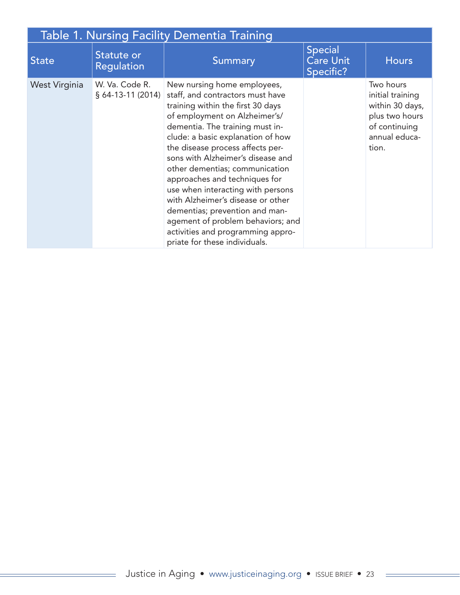| <b>Table 1. Nursing Facility Dementia Training</b> |                                     |                                                                                                                                                                                                                                                                                                                                                                                                                                                                                                                                                                                  |                                                 |                                                                                                               |  |
|----------------------------------------------------|-------------------------------------|----------------------------------------------------------------------------------------------------------------------------------------------------------------------------------------------------------------------------------------------------------------------------------------------------------------------------------------------------------------------------------------------------------------------------------------------------------------------------------------------------------------------------------------------------------------------------------|-------------------------------------------------|---------------------------------------------------------------------------------------------------------------|--|
| <b>State</b>                                       | Statute or<br><b>Regulation</b>     | Summary                                                                                                                                                                                                                                                                                                                                                                                                                                                                                                                                                                          | <b>Special</b><br><b>Care Unit</b><br>Specific? | <b>Hours</b>                                                                                                  |  |
| West Virginia                                      | W. Va. Code R.<br>$$64-13-11(2014)$ | New nursing home employees,<br>staff, and contractors must have<br>training within the first 30 days<br>of employment on Alzheimer's/<br>dementia. The training must in-<br>clude: a basic explanation of how<br>the disease process affects per-<br>sons with Alzheimer's disease and<br>other dementias; communication<br>approaches and techniques for<br>use when interacting with persons<br>with Alzheimer's disease or other<br>dementias; prevention and man-<br>agement of problem behaviors; and<br>activities and programming appro-<br>priate for these individuals. |                                                 | Two hours<br>initial training<br>within 30 days,<br>plus two hours<br>of continuing<br>annual educa-<br>tion. |  |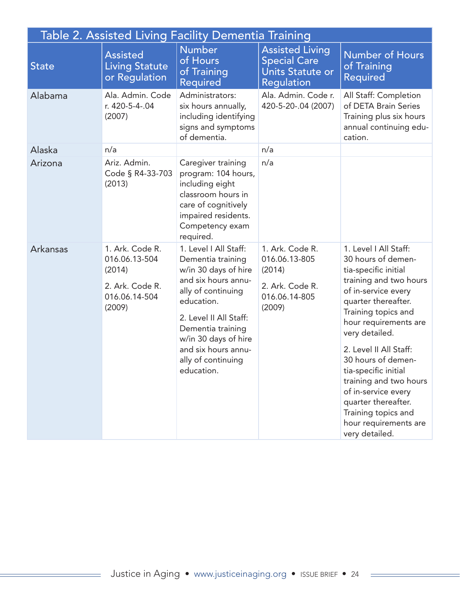| <b>Table 2. Assisted Living Facility Dementia Training</b> |                                                                                          |                                                                                                                                                                                                                                                                 |                                                                                          |                                                                                                                                                                                                                                                                                                                                                                                                                                 |
|------------------------------------------------------------|------------------------------------------------------------------------------------------|-----------------------------------------------------------------------------------------------------------------------------------------------------------------------------------------------------------------------------------------------------------------|------------------------------------------------------------------------------------------|---------------------------------------------------------------------------------------------------------------------------------------------------------------------------------------------------------------------------------------------------------------------------------------------------------------------------------------------------------------------------------------------------------------------------------|
| <b>State</b>                                               | <b>Assisted</b><br><b>Living Statute</b><br>or Regulation                                | <b>Number</b><br>of Hours<br>of Training<br>Required                                                                                                                                                                                                            | <b>Assisted Living</b><br><b>Special Care</b><br><b>Units Statute or</b><br>Regulation   | <b>Number of Hours</b><br>of Training<br><b>Required</b>                                                                                                                                                                                                                                                                                                                                                                        |
| Alabama                                                    | Ala. Admin. Code<br>r. 420-5-4-.04<br>(2007)                                             | Administrators:<br>six hours annually,<br>including identifying<br>signs and symptoms<br>of dementia.                                                                                                                                                           | Ala. Admin. Code r.<br>420-5-20-.04 (2007)                                               | All Staff: Completion<br>of DETA Brain Series<br>Training plus six hours<br>annual continuing edu-<br>cation.                                                                                                                                                                                                                                                                                                                   |
| Alaska                                                     | n/a                                                                                      |                                                                                                                                                                                                                                                                 | n/a                                                                                      |                                                                                                                                                                                                                                                                                                                                                                                                                                 |
| Arizona                                                    | Ariz. Admin.<br>Code § R4-33-703<br>(2013)                                               | Caregiver training<br>program: 104 hours,<br>including eight<br>classroom hours in<br>care of cognitively<br>impaired residents.<br>Competency exam<br>required.                                                                                                | n/a                                                                                      |                                                                                                                                                                                                                                                                                                                                                                                                                                 |
| Arkansas                                                   | 1. Ark. Code R.<br>016.06.13-504<br>(2014)<br>2. Ark. Code R.<br>016.06.14-504<br>(2009) | 1. Level I All Staff:<br>Dementia training<br>w/in 30 days of hire<br>and six hours annu-<br>ally of continuing<br>education.<br>2. Level II All Staff:<br>Dementia training<br>w/in 30 days of hire<br>and six hours annu-<br>ally of continuing<br>education. | 1. Ark. Code R.<br>016.06.13-805<br>(2014)<br>2. Ark. Code R.<br>016.06.14-805<br>(2009) | 1. Level I All Staff:<br>30 hours of demen-<br>tia-specific initial<br>training and two hours<br>of in-service every<br>quarter thereafter.<br>Training topics and<br>hour requirements are<br>very detailed.<br>2. Level II All Staff:<br>30 hours of demen-<br>tia-specific initial<br>training and two hours<br>of in-service every<br>quarter thereafter.<br>Training topics and<br>hour requirements are<br>very detailed. |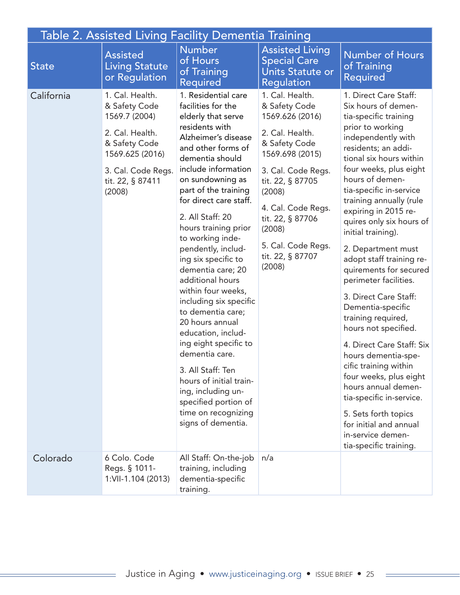| <b>Table 2. Assisted Living Facility Dementia Training</b> |                                                                                                                                                              |                                                                                                                                                                                                                                                                                                                                                                                                                                                                                                                                                                                                                                                                                                          |                                                                                                                                                                                                                                                                        |                                                                                                                                                                                                                                                                                                                                                                                                                                                                                                                                                                                                                                                                                                                                                                                                            |  |
|------------------------------------------------------------|--------------------------------------------------------------------------------------------------------------------------------------------------------------|----------------------------------------------------------------------------------------------------------------------------------------------------------------------------------------------------------------------------------------------------------------------------------------------------------------------------------------------------------------------------------------------------------------------------------------------------------------------------------------------------------------------------------------------------------------------------------------------------------------------------------------------------------------------------------------------------------|------------------------------------------------------------------------------------------------------------------------------------------------------------------------------------------------------------------------------------------------------------------------|------------------------------------------------------------------------------------------------------------------------------------------------------------------------------------------------------------------------------------------------------------------------------------------------------------------------------------------------------------------------------------------------------------------------------------------------------------------------------------------------------------------------------------------------------------------------------------------------------------------------------------------------------------------------------------------------------------------------------------------------------------------------------------------------------------|--|
| <b>State</b>                                               | <b>Assisted</b><br><b>Living Statute</b><br>or Regulation                                                                                                    | <b>Number</b><br>of Hours<br>of Training<br>Required                                                                                                                                                                                                                                                                                                                                                                                                                                                                                                                                                                                                                                                     | <b>Assisted Living</b><br><b>Special Care</b><br><b>Units Statute or</b><br><b>Regulation</b>                                                                                                                                                                          | <b>Number of Hours</b><br>of Training<br><b>Required</b>                                                                                                                                                                                                                                                                                                                                                                                                                                                                                                                                                                                                                                                                                                                                                   |  |
| California                                                 | 1. Cal. Health.<br>& Safety Code<br>1569.7 (2004)<br>2. Cal. Health.<br>& Safety Code<br>1569.625 (2016)<br>3. Cal. Code Regs.<br>tit. 22, § 87411<br>(2008) | 1. Residential care<br>facilities for the<br>elderly that serve<br>residents with<br>Alzheimer's disease<br>and other forms of<br>dementia should<br>include information<br>on sundowning as<br>part of the training<br>for direct care staff.<br>2. All Staff: 20<br>hours training prior<br>to working inde-<br>pendently, includ-<br>ing six specific to<br>dementia care; 20<br>additional hours<br>within four weeks,<br>including six specific<br>to dementia care;<br>20 hours annual<br>education, includ-<br>ing eight specific to<br>dementia care.<br>3. All Staff: Ten<br>hours of initial train-<br>ing, including un-<br>specified portion of<br>time on recognizing<br>signs of dementia. | 1. Cal. Health.<br>& Safety Code<br>1569.626 (2016)<br>2. Cal. Health.<br>& Safety Code<br>1569.698 (2015)<br>3. Cal. Code Regs.<br>tit. 22, § 87705<br>(2008)<br>4. Cal. Code Regs.<br>tit. 22, § 87706<br>(2008)<br>5. Cal. Code Regs.<br>tit. 22, § 87707<br>(2008) | 1. Direct Care Staff:<br>Six hours of demen-<br>tia-specific training<br>prior to working<br>independently with<br>residents; an addi-<br>tional six hours within<br>four weeks, plus eight<br>hours of demen-<br>tia-specific in-service<br>training annually (rule<br>expiring in 2015 re-<br>quires only six hours of<br>initial training).<br>2. Department must<br>adopt staff training re-<br>quirements for secured<br>perimeter facilities.<br>3. Direct Care Staff:<br>Dementia-specific<br>training required,<br>hours not specified.<br>4. Direct Care Staff: Six<br>hours dementia-spe-<br>cific training within<br>four weeks, plus eight<br>hours annual demen-<br>tia-specific in-service.<br>5. Sets forth topics<br>for initial and annual<br>in-service demen-<br>tia-specific training. |  |
| Colorado                                                   | 6 Colo. Code<br>Regs. § 1011-<br>1:VII-1.104 (2013)                                                                                                          | All Staff: On-the-job<br>training, including<br>dementia-specific<br>training.                                                                                                                                                                                                                                                                                                                                                                                                                                                                                                                                                                                                                           | n/a                                                                                                                                                                                                                                                                    |                                                                                                                                                                                                                                                                                                                                                                                                                                                                                                                                                                                                                                                                                                                                                                                                            |  |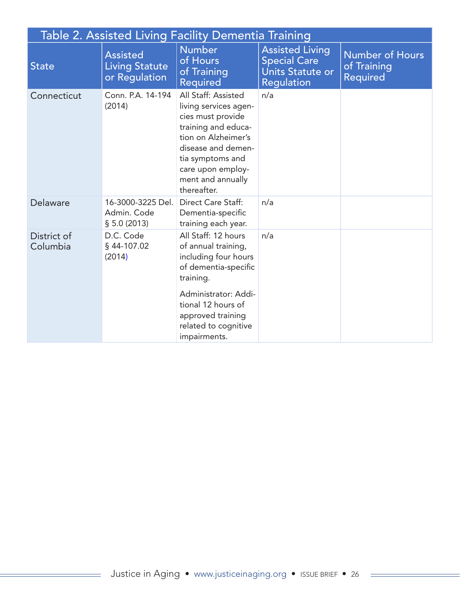|                         |                                                           | Table 2. Assisted Living Facility Dementia Training                                                                                                                                                                |                                                                                        |                                                          |
|-------------------------|-----------------------------------------------------------|--------------------------------------------------------------------------------------------------------------------------------------------------------------------------------------------------------------------|----------------------------------------------------------------------------------------|----------------------------------------------------------|
| <b>State</b>            | <b>Assisted</b><br><b>Living Statute</b><br>or Regulation | <b>Number</b><br>of Hours<br>of Training<br><b>Required</b>                                                                                                                                                        | <b>Assisted Living</b><br><b>Special Care</b><br>Units Statute or<br><b>Regulation</b> | <b>Number of Hours</b><br>of Training<br><b>Required</b> |
| Connecticut             | Conn. P.A. 14-194<br>(2014)                               | All Staff: Assisted<br>living services agen-<br>cies must provide<br>training and educa-<br>tion on Alzheimer's<br>disease and demen-<br>tia symptoms and<br>care upon employ-<br>ment and annually<br>thereafter. | n/a                                                                                    |                                                          |
| Delaware                | 16-3000-3225 Del.<br>Admin. Code<br>\$5.0(2013)           | <b>Direct Care Staff:</b><br>Dementia-specific<br>training each year.                                                                                                                                              | n/a                                                                                    |                                                          |
| District of<br>Columbia | D.C. Code<br>$§$ 44-107.02<br>(2014)                      | All Staff: 12 hours<br>of annual training,<br>including four hours<br>of dementia-specific<br>training.                                                                                                            | n/a                                                                                    |                                                          |
|                         |                                                           | Administrator: Addi-<br>tional 12 hours of<br>approved training<br>related to cognitive<br>impairments.                                                                                                            |                                                                                        |                                                          |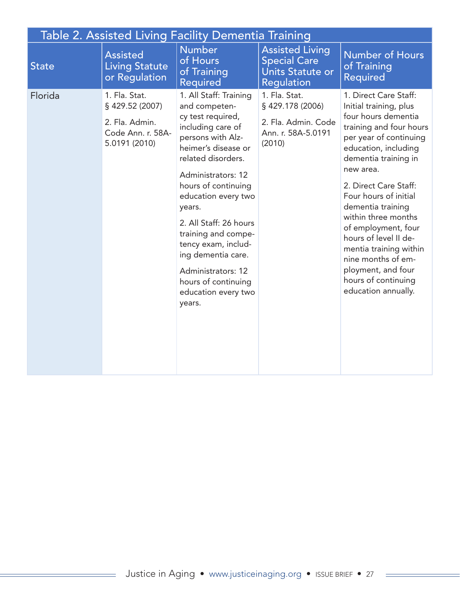| Table 2. Assisted Living Facility Dementia Training |                                                                                          |                                                                                                                                                                                                                                                                                                                                                                                                               |                                                                                               |                                                                                                                                                                                                                                                                                                                                                                                                                                                            |  |
|-----------------------------------------------------|------------------------------------------------------------------------------------------|---------------------------------------------------------------------------------------------------------------------------------------------------------------------------------------------------------------------------------------------------------------------------------------------------------------------------------------------------------------------------------------------------------------|-----------------------------------------------------------------------------------------------|------------------------------------------------------------------------------------------------------------------------------------------------------------------------------------------------------------------------------------------------------------------------------------------------------------------------------------------------------------------------------------------------------------------------------------------------------------|--|
| State                                               | <b>Assisted</b><br><b>Living Statute</b><br>or Regulation                                | <b>Number</b><br>of Hours<br>of Training<br><b>Required</b>                                                                                                                                                                                                                                                                                                                                                   | <b>Assisted Living</b><br><b>Special Care</b><br><b>Units Statute or</b><br><b>Regulation</b> | <b>Number of Hours</b><br>of Training<br><b>Required</b>                                                                                                                                                                                                                                                                                                                                                                                                   |  |
| Florida                                             | 1. Fla. Stat.<br>§ 429.52 (2007)<br>2. Fla. Admin.<br>Code Ann. r. 58A-<br>5.0191 (2010) | 1. All Staff: Training<br>and competen-<br>cy test required,<br>including care of<br>persons with Alz-<br>heimer's disease or<br>related disorders.<br>Administrators: 12<br>hours of continuing<br>education every two<br>years.<br>2. All Staff: 26 hours<br>training and compe-<br>tency exam, includ-<br>ing dementia care.<br>Administrators: 12<br>hours of continuing<br>education every two<br>years. | 1. Fla. Stat.<br>§ 429.178 (2006)<br>2. Fla. Admin. Code<br>Ann. r. 58A-5.0191<br>(2010)      | 1. Direct Care Staff:<br>Initial training, plus<br>four hours dementia<br>training and four hours<br>per year of continuing<br>education, including<br>dementia training in<br>new area.<br>2. Direct Care Staff:<br>Four hours of initial<br>dementia training<br>within three months<br>of employment, four<br>hours of level II de-<br>mentia training within<br>nine months of em-<br>ployment, and four<br>hours of continuing<br>education annually. |  |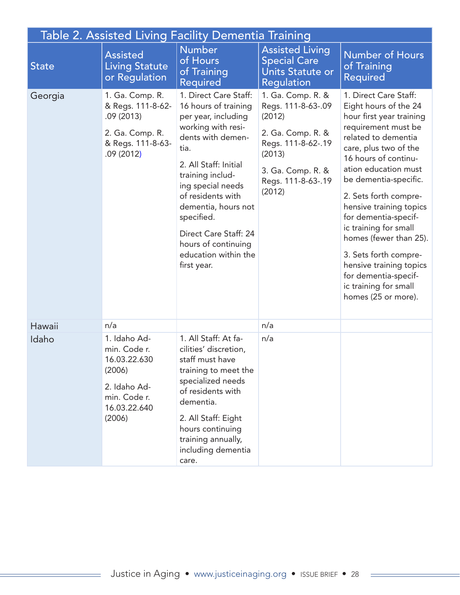| <b>Table 2. Assisted Living Facility Dementia Training</b> |                                                                                                                  |                                                                                                                                                                                                                                                                                                                                            |                                                                                                                                                             |                                                                                                                                                                                                                                                                                                                                                                                                                                                                                       |  |
|------------------------------------------------------------|------------------------------------------------------------------------------------------------------------------|--------------------------------------------------------------------------------------------------------------------------------------------------------------------------------------------------------------------------------------------------------------------------------------------------------------------------------------------|-------------------------------------------------------------------------------------------------------------------------------------------------------------|---------------------------------------------------------------------------------------------------------------------------------------------------------------------------------------------------------------------------------------------------------------------------------------------------------------------------------------------------------------------------------------------------------------------------------------------------------------------------------------|--|
| <b>State</b>                                               | <b>Assisted</b><br><b>Living Statute</b><br>or Regulation                                                        | <b>Number</b><br>of Hours<br>of Training<br><b>Required</b>                                                                                                                                                                                                                                                                                | <b>Assisted Living</b><br><b>Special Care</b><br>Units Statute or<br><b>Regulation</b>                                                                      | <b>Number of Hours</b><br>of Training<br><b>Required</b>                                                                                                                                                                                                                                                                                                                                                                                                                              |  |
| Georgia                                                    | 1. Ga. Comp. R.<br>& Regs. 111-8-62-<br>.09(2013)<br>2. Ga. Comp. R.<br>& Regs. 111-8-63-<br>.09(2012)           | 1. Direct Care Staff:<br>16 hours of training<br>per year, including<br>working with resi-<br>dents with demen-<br>tia.<br>2. All Staff: Initial<br>training includ-<br>ing special needs<br>of residents with<br>dementia, hours not<br>specified.<br>Direct Care Staff: 24<br>hours of continuing<br>education within the<br>first year. | 1. Ga. Comp. R. &<br>Regs. 111-8-63-.09<br>(2012)<br>2. Ga. Comp. R. &<br>Regs. 111-8-62-.19<br>(2013)<br>3. Ga. Comp. R. &<br>Regs. 111-8-63-.19<br>(2012) | 1. Direct Care Staff:<br>Eight hours of the 24<br>hour first year training<br>requirement must be<br>related to dementia<br>care, plus two of the<br>16 hours of continu-<br>ation education must<br>be dementia-specific.<br>2. Sets forth compre-<br>hensive training topics<br>for dementia-specif-<br>ic training for small<br>homes (fewer than 25).<br>3. Sets forth compre-<br>hensive training topics<br>for dementia-specif-<br>ic training for small<br>homes (25 or more). |  |
| Hawaii                                                     | n/a                                                                                                              |                                                                                                                                                                                                                                                                                                                                            | n/a                                                                                                                                                         |                                                                                                                                                                                                                                                                                                                                                                                                                                                                                       |  |
| Idaho                                                      | 1. Idaho Ad-<br>min. Code r.<br>16.03.22.630<br>(2006)<br>2. Idaho Ad-<br>min. Code r.<br>16.03.22.640<br>(2006) | 1. All Staff: At fa-<br>cilities' discretion,<br>staff must have<br>training to meet the<br>specialized needs<br>of residents with<br>dementia.<br>2. All Staff: Eight<br>hours continuing<br>training annually,<br>including dementia<br>care.                                                                                            | n/a                                                                                                                                                         |                                                                                                                                                                                                                                                                                                                                                                                                                                                                                       |  |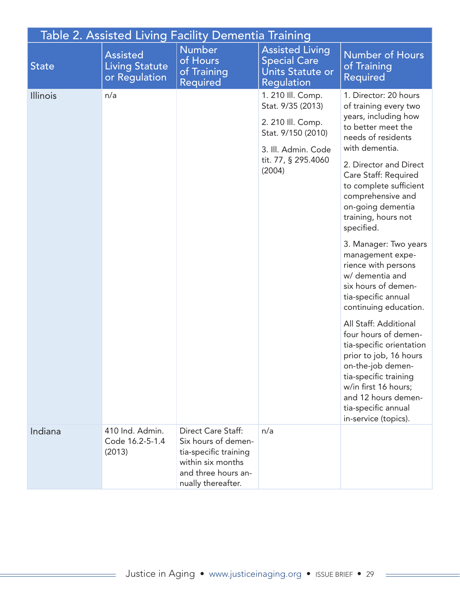| Table 2. Assisted Living Facility Dementia Training |                                                           |                                                                                                                                             |                                                                                                                                           |                                                                                                                                                                                                                                                                                                                                                                                                                                                                                                                                                                                                                                                                                                                  |  |
|-----------------------------------------------------|-----------------------------------------------------------|---------------------------------------------------------------------------------------------------------------------------------------------|-------------------------------------------------------------------------------------------------------------------------------------------|------------------------------------------------------------------------------------------------------------------------------------------------------------------------------------------------------------------------------------------------------------------------------------------------------------------------------------------------------------------------------------------------------------------------------------------------------------------------------------------------------------------------------------------------------------------------------------------------------------------------------------------------------------------------------------------------------------------|--|
| <b>State</b>                                        | <b>Assisted</b><br><b>Living Statute</b><br>or Regulation | <b>Number</b><br>of Hours<br>of Training<br><b>Required</b>                                                                                 | <b>Assisted Living</b><br><b>Special Care</b><br><b>Units Statute or</b><br><b>Regulation</b>                                             | <b>Number of Hours</b><br>of Training<br><b>Required</b>                                                                                                                                                                                                                                                                                                                                                                                                                                                                                                                                                                                                                                                         |  |
| <b>Illinois</b>                                     | n/a                                                       |                                                                                                                                             | 1. 210 Ill. Comp.<br>Stat. 9/35 (2013)<br>2. 210 Ill. Comp.<br>Stat. 9/150 (2010)<br>3. Ill. Admin. Code<br>tit. 77, § 295.4060<br>(2004) | 1. Director: 20 hours<br>of training every two<br>years, including how<br>to better meet the<br>needs of residents<br>with dementia.<br>2. Director and Direct<br>Care Staff: Required<br>to complete sufficient<br>comprehensive and<br>on-going dementia<br>training, hours not<br>specified.<br>3. Manager: Two years<br>management expe-<br>rience with persons<br>w/ dementia and<br>six hours of demen-<br>tia-specific annual<br>continuing education.<br>All Staff: Additional<br>four hours of demen-<br>tia-specific orientation<br>prior to job, 16 hours<br>on-the-job demen-<br>tia-specific training<br>w/in first 16 hours;<br>and 12 hours demen-<br>tia-specific annual<br>in-service (topics). |  |
| Indiana                                             | 410 Ind. Admin.<br>Code 16.2-5-1.4<br>(2013)              | <b>Direct Care Staff:</b><br>Six hours of demen-<br>tia-specific training<br>within six months<br>and three hours an-<br>nually thereafter. | n/a                                                                                                                                       |                                                                                                                                                                                                                                                                                                                                                                                                                                                                                                                                                                                                                                                                                                                  |  |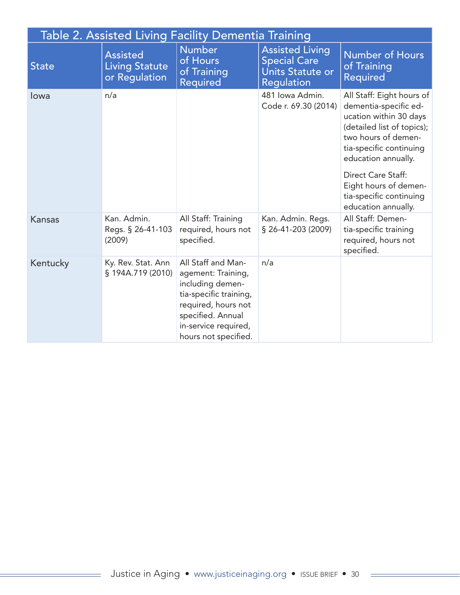| <b>Table 2. Assisted Living Facility Dementia Training</b> |                                                           |                                                                                                                                                                                    |                                                                                        |                                                                                                                                                                                                                                                                                             |
|------------------------------------------------------------|-----------------------------------------------------------|------------------------------------------------------------------------------------------------------------------------------------------------------------------------------------|----------------------------------------------------------------------------------------|---------------------------------------------------------------------------------------------------------------------------------------------------------------------------------------------------------------------------------------------------------------------------------------------|
| <b>State</b>                                               | <b>Assisted</b><br><b>Living Statute</b><br>or Regulation | <b>Number</b><br>of Hours<br>of Training<br><b>Required</b>                                                                                                                        | <b>Assisted Living</b><br><b>Special Care</b><br><b>Units Statute or</b><br>Regulation | <b>Number of Hours</b><br>of Training<br><b>Required</b>                                                                                                                                                                                                                                    |
| lowa                                                       | n/a                                                       |                                                                                                                                                                                    | 481 Iowa Admin.<br>Code r. 69.30 (2014)                                                | All Staff: Eight hours of<br>dementia-specific ed-<br>ucation within 30 days<br>(detailed list of topics);<br>two hours of demen-<br>tia-specific continuing<br>education annually.<br><b>Direct Care Staff:</b><br>Eight hours of demen-<br>tia-specific continuing<br>education annually. |
| <b>Kansas</b>                                              | Kan. Admin.<br>Regs. § 26-41-103<br>(2009)                | All Staff: Training<br>required, hours not<br>specified.                                                                                                                           | Kan. Admin. Regs.<br>§ 26-41-203 (2009)                                                | All Staff: Demen-<br>tia-specific training<br>required, hours not<br>specified.                                                                                                                                                                                                             |
| Kentucky                                                   | Ky. Rev. Stat. Ann<br>§ 194A.719 (2010)                   | All Staff and Man-<br>agement: Training,<br>including demen-<br>tia-specific training,<br>required, hours not<br>specified. Annual<br>in-service required,<br>hours not specified. | n/a                                                                                    |                                                                                                                                                                                                                                                                                             |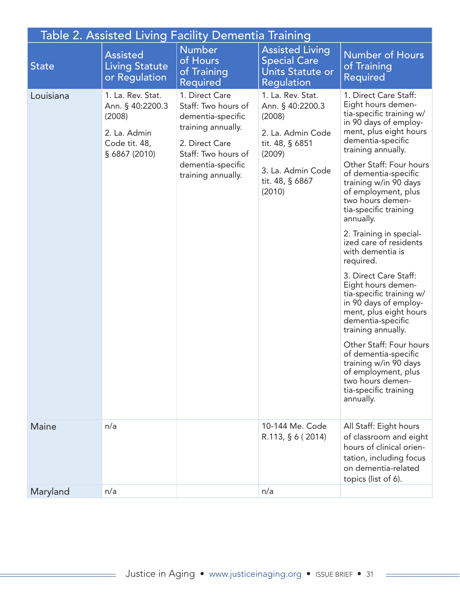|              |                                                                                                   | <b>Table 2. Assisted Living Facility Dementia Training</b>                                                                                                           |                                                                                                                                                     |                                                                                                                                                                                                                                                                                                                                                                                                                                                                                                                                                                                                                                                                                                                                                                |
|--------------|---------------------------------------------------------------------------------------------------|----------------------------------------------------------------------------------------------------------------------------------------------------------------------|-----------------------------------------------------------------------------------------------------------------------------------------------------|----------------------------------------------------------------------------------------------------------------------------------------------------------------------------------------------------------------------------------------------------------------------------------------------------------------------------------------------------------------------------------------------------------------------------------------------------------------------------------------------------------------------------------------------------------------------------------------------------------------------------------------------------------------------------------------------------------------------------------------------------------------|
| <b>State</b> | <b>Assisted</b><br><b>Living Statute</b><br>or Regulation                                         | <b>Number</b><br>of Hours<br>of Training<br><b>Required</b>                                                                                                          | <b>Assisted Living</b><br><b>Special Care</b><br><b>Units Statute or</b><br><b>Regulation</b>                                                       | <b>Number of Hours</b><br>of Training<br><b>Required</b>                                                                                                                                                                                                                                                                                                                                                                                                                                                                                                                                                                                                                                                                                                       |
| Louisiana    | 1. La. Rev. Stat.<br>Ann. § 40:2200.3<br>(2008)<br>2. La. Admin<br>Code tit. 48,<br>§ 6867 (2010) | 1. Direct Care<br>Staff: Two hours of<br>dementia-specific<br>training annually.<br>2. Direct Care<br>Staff: Two hours of<br>dementia-specific<br>training annually. | 1. La. Rev. Stat.<br>Ann. § 40:2200.3<br>(2008)<br>2. La. Admin Code<br>tit. 48, § 6851<br>(2009)<br>3. La. Admin Code<br>tit. 48, § 6867<br>(2010) | 1. Direct Care Staff:<br>Eight hours demen-<br>tia-specific training w/<br>in 90 days of employ-<br>ment, plus eight hours<br>dementia-specific<br>training annually.<br>Other Staff: Four hours<br>of dementia-specific<br>training w/in 90 days<br>of employment, plus<br>two hours demen-<br>tia-specific training<br>annually.<br>2. Training in special-<br>ized care of residents<br>with dementia is<br>required.<br>3. Direct Care Staff:<br>Eight hours demen-<br>tia-specific training w/<br>in 90 days of employ-<br>ment, plus eight hours<br>dementia-specific<br>training annually.<br>Other Staff: Four hours<br>of dementia-specific<br>training w/in 90 days<br>of employment, plus<br>two hours demen-<br>tia-specific training<br>annually. |
| <b>Maine</b> | n/a                                                                                               |                                                                                                                                                                      | 10-144 Me. Code<br>R.113, § 6 (2014)                                                                                                                | All Staff: Eight hours<br>of classroom and eight<br>hours of clinical orien-<br>tation, including focus<br>on dementia-related<br>topics (list of 6).                                                                                                                                                                                                                                                                                                                                                                                                                                                                                                                                                                                                          |
| Maryland     | n/a                                                                                               |                                                                                                                                                                      | n/a                                                                                                                                                 |                                                                                                                                                                                                                                                                                                                                                                                                                                                                                                                                                                                                                                                                                                                                                                |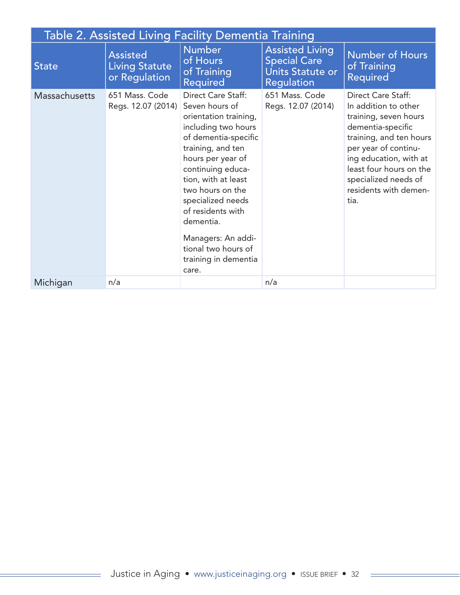| Table 2. Assisted Living Facility Dementia Training |                                                           |                                                                                                                                                                                                                                                                                                                                                             |                                                                                        |                                                                                                                                                                                                                                                           |  |
|-----------------------------------------------------|-----------------------------------------------------------|-------------------------------------------------------------------------------------------------------------------------------------------------------------------------------------------------------------------------------------------------------------------------------------------------------------------------------------------------------------|----------------------------------------------------------------------------------------|-----------------------------------------------------------------------------------------------------------------------------------------------------------------------------------------------------------------------------------------------------------|--|
| <b>State</b>                                        | <b>Assisted</b><br><b>Living Statute</b><br>or Regulation | <b>Number</b><br>of Hours<br>of Training<br><b>Required</b>                                                                                                                                                                                                                                                                                                 | <b>Assisted Living</b><br><b>Special Care</b><br><b>Units Statute or</b><br>Regulation | <b>Number of Hours</b><br>of Training<br><b>Required</b>                                                                                                                                                                                                  |  |
| <b>Massachusetts</b>                                | 651 Mass. Code<br>Regs. 12.07 (2014)                      | Direct Care Staff:<br>Seven hours of<br>orientation training,<br>including two hours<br>of dementia-specific<br>training, and ten<br>hours per year of<br>continuing educa-<br>tion, with at least<br>two hours on the<br>specialized needs<br>of residents with<br>dementia.<br>Managers: An addi-<br>tional two hours of<br>training in dementia<br>care. | 651 Mass. Code<br>Regs. 12.07 (2014)                                                   | Direct Care Staff:<br>In addition to other<br>training, seven hours<br>dementia-specific<br>training, and ten hours<br>per year of continu-<br>ing education, with at<br>least four hours on the<br>specialized needs of<br>residents with demen-<br>tia. |  |
| Michigan                                            | n/a                                                       |                                                                                                                                                                                                                                                                                                                                                             | n/a                                                                                    |                                                                                                                                                                                                                                                           |  |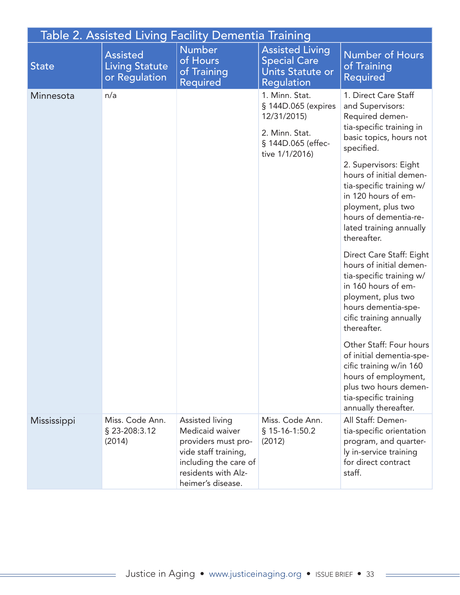| Table 2. Assisted Living Facility Dementia Training |                                                           |                                                                                                                                                        |                                                                                                                |                                                                                                                                                                                                                                                                                                                                                                                                                                                                                                                                                                                                                                                                      |
|-----------------------------------------------------|-----------------------------------------------------------|--------------------------------------------------------------------------------------------------------------------------------------------------------|----------------------------------------------------------------------------------------------------------------|----------------------------------------------------------------------------------------------------------------------------------------------------------------------------------------------------------------------------------------------------------------------------------------------------------------------------------------------------------------------------------------------------------------------------------------------------------------------------------------------------------------------------------------------------------------------------------------------------------------------------------------------------------------------|
| <b>State</b>                                        | <b>Assisted</b><br><b>Living Statute</b><br>or Regulation | <b>Number</b><br>of Hours<br>of Training<br><b>Required</b>                                                                                            | <b>Assisted Living</b><br><b>Special Care</b><br><b>Units Statute or</b><br>Regulation                         | <b>Number of Hours</b><br>of Training<br><b>Required</b>                                                                                                                                                                                                                                                                                                                                                                                                                                                                                                                                                                                                             |
| Minnesota                                           | n/a                                                       |                                                                                                                                                        | 1. Minn. Stat.<br>§ 144D.065 (expires<br>12/31/2015)<br>2. Minn. Stat.<br>§ 144D.065 (effec-<br>tive 1/1/2016) | 1. Direct Care Staff<br>and Supervisors:<br>Required demen-<br>tia-specific training in<br>basic topics, hours not<br>specified.<br>2. Supervisors: Eight<br>hours of initial demen-<br>tia-specific training w/<br>in 120 hours of em-<br>ployment, plus two<br>hours of dementia-re-<br>lated training annually<br>thereafter.<br>Direct Care Staff: Eight<br>hours of initial demen-<br>tia-specific training w/<br>in 160 hours of em-<br>ployment, plus two<br>hours dementia-spe-<br>cific training annually<br>thereafter.<br>Other Staff: Four hours<br>of initial dementia-spe-<br>cific training w/in 160<br>hours of employment,<br>plus two hours demen- |
| Mississippi                                         | Miss. Code Ann.<br>§ 23-208:3.12<br>(2014)                | Assisted living<br>Medicaid waiver<br>providers must pro-<br>vide staff training,<br>including the care of<br>residents with Alz-<br>heimer's disease. | Miss. Code Ann.<br>$§$ 15-16-1:50.2<br>(2012)                                                                  | tia-specific training<br>annually thereafter.<br>All Staff: Demen-<br>tia-specific orientation<br>program, and quarter-<br>ly in-service training<br>for direct contract<br>staff.                                                                                                                                                                                                                                                                                                                                                                                                                                                                                   |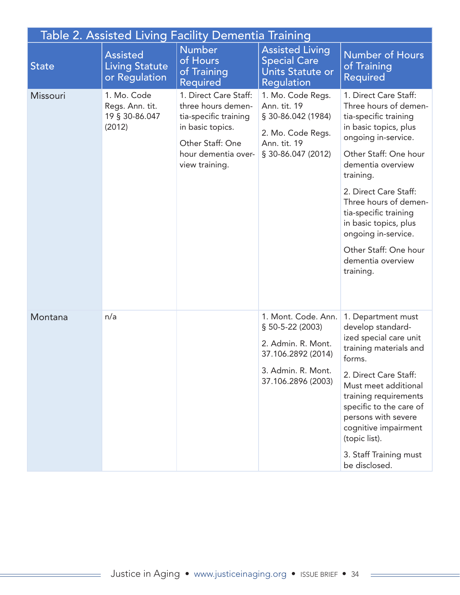|              | Table 2. Assisted Living Facility Dementia Training        |                                                                                                                                                       |                                                                                                                                 |                                                                                                                                                                                                                                                                                                                                                                          |  |
|--------------|------------------------------------------------------------|-------------------------------------------------------------------------------------------------------------------------------------------------------|---------------------------------------------------------------------------------------------------------------------------------|--------------------------------------------------------------------------------------------------------------------------------------------------------------------------------------------------------------------------------------------------------------------------------------------------------------------------------------------------------------------------|--|
| <b>State</b> | <b>Assisted</b><br><b>Living Statute</b><br>or Regulation  | <b>Number</b><br>of Hours<br>of Training<br>Required                                                                                                  | <b>Assisted Living</b><br><b>Special Care</b><br><b>Units Statute or</b><br><b>Regulation</b>                                   | <b>Number of Hours</b><br>of Training<br><b>Required</b>                                                                                                                                                                                                                                                                                                                 |  |
| Missouri     | 1. Mo. Code<br>Regs. Ann. tit.<br>19 § 30-86.047<br>(2012) | 1. Direct Care Staff:<br>three hours demen-<br>tia-specific training<br>in basic topics.<br>Other Staff: One<br>hour dementia over-<br>view training. | 1. Mo. Code Regs.<br>Ann. tit. 19<br>§ 30-86.042 (1984)<br>2. Mo. Code Regs.<br>Ann. tit. 19<br>§ 30-86.047 (2012)              | 1. Direct Care Staff:<br>Three hours of demen-<br>tia-specific training<br>in basic topics, plus<br>ongoing in-service.<br>Other Staff: One hour<br>dementia overview<br>training.<br>2. Direct Care Staff:<br>Three hours of demen-<br>tia-specific training<br>in basic topics, plus<br>ongoing in-service.<br>Other Staff: One hour<br>dementia overview<br>training. |  |
| Montana      | n/a                                                        |                                                                                                                                                       | 1. Mont. Code. Ann.<br>§ 50-5-22 (2003)<br>2. Admin. R. Mont.<br>37.106.2892 (2014)<br>3. Admin. R. Mont.<br>37.106.2896 (2003) | 1. Department must<br>develop standard-<br>ized special care unit<br>training materials and<br>forms.<br>2. Direct Care Staff:<br>Must meet additional<br>training requirements<br>specific to the care of<br>persons with severe<br>cognitive impairment<br>(topic list).<br>3. Staff Training must<br>be disclosed.                                                    |  |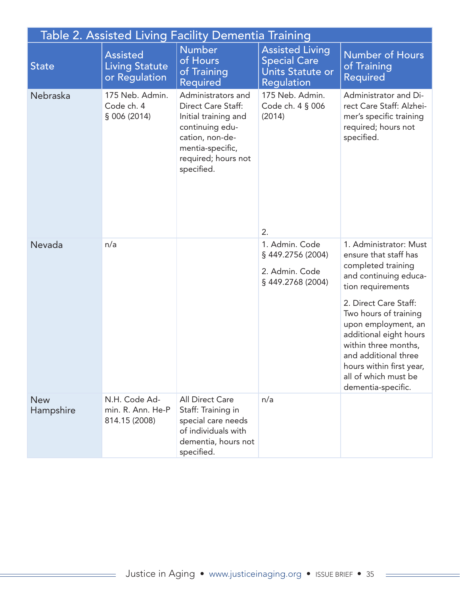| Table 2. Assisted Living Facility Dementia Training |                                                           |                                                                                                                                                                 |                                                                                        |                                                                                                                                                                                                                                                                                                                                                  |
|-----------------------------------------------------|-----------------------------------------------------------|-----------------------------------------------------------------------------------------------------------------------------------------------------------------|----------------------------------------------------------------------------------------|--------------------------------------------------------------------------------------------------------------------------------------------------------------------------------------------------------------------------------------------------------------------------------------------------------------------------------------------------|
| <b>State</b>                                        | <b>Assisted</b><br><b>Living Statute</b><br>or Regulation | <b>Number</b><br>of Hours<br>of Training<br>Required                                                                                                            | <b>Assisted Living</b><br><b>Special Care</b><br><b>Units Statute or</b><br>Regulation | <b>Number of Hours</b><br>of Training<br><b>Required</b>                                                                                                                                                                                                                                                                                         |
| Nebraska                                            | 175 Neb. Admin.<br>Code ch. 4<br>\$006(2014)              | Administrators and<br>Direct Care Staff:<br>Initial training and<br>continuing edu-<br>cation, non-de-<br>mentia-specific,<br>required; hours not<br>specified. | 175 Neb. Admin.<br>Code ch. 4 § 006<br>(2014)<br>2.                                    | Administrator and Di-<br>rect Care Staff: Alzhei-<br>mer's specific training<br>required; hours not<br>specified.                                                                                                                                                                                                                                |
| Nevada                                              | n/a                                                       |                                                                                                                                                                 | 1. Admin. Code<br>§ 449.2756 (2004)<br>2. Admin. Code<br>§ 449.2768 (2004)             | 1. Administrator: Must<br>ensure that staff has<br>completed training<br>and continuing educa-<br>tion requirements<br>2. Direct Care Staff:<br>Two hours of training<br>upon employment, an<br>additional eight hours<br>within three months,<br>and additional three<br>hours within first year,<br>all of which must be<br>dementia-specific. |
| <b>New</b><br>Hampshire                             | N.H. Code Ad-<br>min. R. Ann. He-P<br>814.15 (2008)       | <b>All Direct Care</b><br>Staff: Training in<br>special care needs<br>of individuals with<br>dementia, hours not<br>specified.                                  | n/a                                                                                    |                                                                                                                                                                                                                                                                                                                                                  |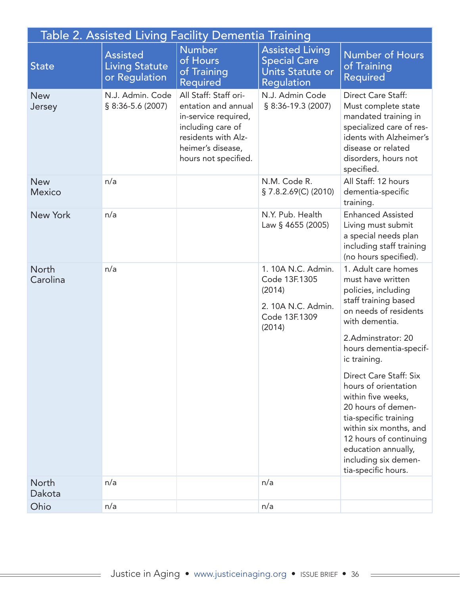| Table 2. Assisted Living Facility Dementia Training |                                                           |                                                                                                                                                               |                                                                                                |                                                                                                                                                                                                                                               |
|-----------------------------------------------------|-----------------------------------------------------------|---------------------------------------------------------------------------------------------------------------------------------------------------------------|------------------------------------------------------------------------------------------------|-----------------------------------------------------------------------------------------------------------------------------------------------------------------------------------------------------------------------------------------------|
| <b>State</b>                                        | <b>Assisted</b><br><b>Living Statute</b><br>or Regulation | <b>Number</b><br>of Hours<br>of Training<br><b>Required</b>                                                                                                   | <b>Assisted Living</b><br><b>Special Care</b><br>Units Statute or<br>Regulation                | Number of Hours<br>of Training<br><b>Required</b>                                                                                                                                                                                             |
| <b>New</b><br>Jersey                                | N.J. Admin. Code<br>$$8:36-5.6(2007)$                     | All Staff: Staff ori-<br>entation and annual<br>in-service required,<br>including care of<br>residents with Alz-<br>heimer's disease,<br>hours not specified. | N.J. Admin Code<br>§ 8:36-19.3 (2007)                                                          | Direct Care Staff:<br>Must complete state<br>mandated training in<br>specialized care of res-<br>idents with Alzheimer's<br>disease or related<br>disorders, hours not<br>specified.                                                          |
| <b>New</b><br><b>Mexico</b>                         | n/a                                                       |                                                                                                                                                               | N.M. Code R.<br>\$7.8.2.69(C) (2010)                                                           | All Staff: 12 hours<br>dementia-specific<br>training.                                                                                                                                                                                         |
| New York                                            | n/a                                                       |                                                                                                                                                               | N.Y. Pub. Health<br>Law § 4655 (2005)                                                          | <b>Enhanced Assisted</b><br>Living must submit<br>a special needs plan<br>including staff training<br>(no hours specified).                                                                                                                   |
| <b>North</b><br>Carolina                            | n/a                                                       |                                                                                                                                                               | 1. 10A N.C. Admin.<br>Code 13F.1305<br>(2014)<br>2. 10A N.C. Admin.<br>Code 13F.1309<br>(2014) | 1. Adult care homes<br>must have written<br>policies, including<br>staff training based<br>on needs of residents<br>with dementia.                                                                                                            |
|                                                     |                                                           |                                                                                                                                                               |                                                                                                | 2.Adminstrator: 20<br>hours dementia-specif-<br>ic training.                                                                                                                                                                                  |
|                                                     |                                                           |                                                                                                                                                               |                                                                                                | Direct Care Staff: Six<br>hours of orientation<br>within five weeks,<br>20 hours of demen-<br>tia-specific training<br>within six months, and<br>12 hours of continuing<br>education annually,<br>including six demen-<br>tia-specific hours. |
| <b>North</b><br>Dakota                              | n/a                                                       |                                                                                                                                                               | n/a                                                                                            |                                                                                                                                                                                                                                               |
| Ohio                                                | n/a                                                       |                                                                                                                                                               | n/a                                                                                            |                                                                                                                                                                                                                                               |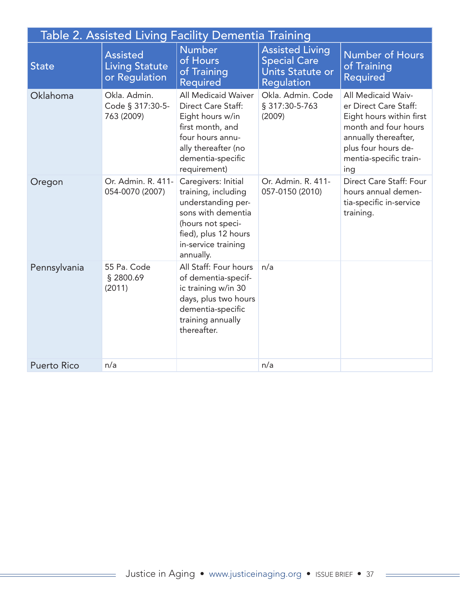|                    |                                                           | Table 2. Assisted Living Facility Dementia Training                                                                                                                      |                                                                                               |                                                                                                                                                                                 |
|--------------------|-----------------------------------------------------------|--------------------------------------------------------------------------------------------------------------------------------------------------------------------------|-----------------------------------------------------------------------------------------------|---------------------------------------------------------------------------------------------------------------------------------------------------------------------------------|
| <b>State</b>       | <b>Assisted</b><br><b>Living Statute</b><br>or Regulation | <b>Number</b><br>of Hours<br>of Training<br><b>Required</b>                                                                                                              | <b>Assisted Living</b><br><b>Special Care</b><br><b>Units Statute or</b><br><b>Regulation</b> | <b>Number of Hours</b><br>of Training<br><b>Required</b>                                                                                                                        |
| Oklahoma           | Okla, Admin.<br>Code § 317:30-5-<br>763 (2009)            | <b>All Medicaid Waiver</b><br>Direct Care Staff:<br>Eight hours w/in<br>first month, and<br>four hours annu-<br>ally thereafter (no<br>dementia-specific<br>requirement) | Okla. Admin. Code<br>§ 317:30-5-763<br>(2009)                                                 | All Medicaid Waiv-<br>er Direct Care Staff:<br>Eight hours within first<br>month and four hours<br>annually thereafter,<br>plus four hours de-<br>mentia-specific train-<br>ing |
| Oregon             | Or. Admin. R. 411-<br>054-0070 (2007)                     | Caregivers: Initial<br>training, including<br>understanding per-<br>sons with dementia<br>(hours not speci-<br>fied), plus 12 hours<br>in-service training<br>annually.  | Or. Admin. R. 411-<br>057-0150 (2010)                                                         | Direct Care Staff: Four<br>hours annual demen-<br>tia-specific in-service<br>training.                                                                                          |
| Pennsylvania       | 55 Pa. Code<br>§ 2800.69<br>(2011)                        | All Staff: Four hours<br>of dementia-specif-<br>ic training w/in 30<br>days, plus two hours<br>dementia-specific<br>training annually<br>thereafter.                     | n/a                                                                                           |                                                                                                                                                                                 |
| <b>Puerto Rico</b> | n/a                                                       |                                                                                                                                                                          | n/a                                                                                           |                                                                                                                                                                                 |

 $\equiv$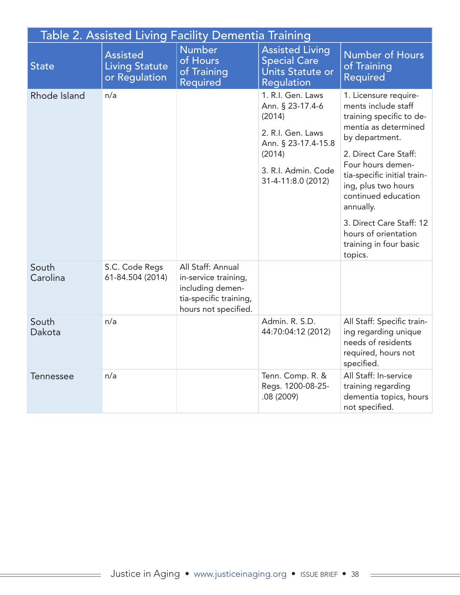| Table 2. Assisted Living Facility Dementia Training |                                                    |                                                                                                                 |                                                                                                                                                    |                                                                                                                                                                                                                                                                                                                                          |
|-----------------------------------------------------|----------------------------------------------------|-----------------------------------------------------------------------------------------------------------------|----------------------------------------------------------------------------------------------------------------------------------------------------|------------------------------------------------------------------------------------------------------------------------------------------------------------------------------------------------------------------------------------------------------------------------------------------------------------------------------------------|
| <b>State</b>                                        | <b>Assisted</b><br>Living Statute<br>or Regulation | <b>Number</b><br>of Hours<br>of Training<br><b>Required</b>                                                     | <b>Assisted Living</b><br><b>Special Care</b><br>Units Statute or<br>Regulation                                                                    | <b>Number of Hours</b><br>of Training<br><b>Required</b>                                                                                                                                                                                                                                                                                 |
| Rhode Island                                        | n/a                                                |                                                                                                                 | 1. R.I. Gen. Laws<br>Ann. § 23-17.4-6<br>(2014)<br>2. R.I. Gen. Laws<br>Ann. § 23-17.4-15.8<br>(2014)<br>3. R.I. Admin. Code<br>31-4-11:8.0 (2012) | 1. Licensure require-<br>ments include staff<br>training specific to de-<br>mentia as determined<br>by department.<br>2. Direct Care Staff:<br>Four hours demen-<br>tia-specific initial train-<br>ing, plus two hours<br>continued education<br>annually.<br>3. Direct Care Staff: 12<br>hours of orientation<br>training in four basic |
| South<br>Carolina                                   | S.C. Code Regs<br>61-84.504 (2014)                 | All Staff: Annual<br>in-service training,<br>including demen-<br>tia-specific training,<br>hours not specified. |                                                                                                                                                    | topics.                                                                                                                                                                                                                                                                                                                                  |
| South<br>Dakota                                     | n/a                                                |                                                                                                                 | Admin. R. S.D.<br>44:70:04:12 (2012)                                                                                                               | All Staff: Specific train-<br>ing regarding unique<br>needs of residents<br>required, hours not<br>specified.                                                                                                                                                                                                                            |
| Tennessee                                           | n/a                                                |                                                                                                                 | Tenn. Comp. R. &<br>Regs. 1200-08-25-<br>.08(2009)                                                                                                 | All Staff: In-service<br>training regarding<br>dementia topics, hours<br>not specified.                                                                                                                                                                                                                                                  |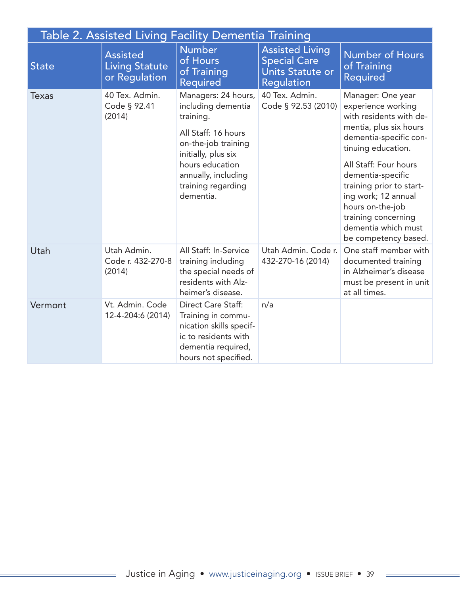| <b>Table 2. Assisted Living Facility Dementia Training</b> |                                                           |                                                                                                                                                                                                          |                                                                                        |                                                                                                                                                                                                                                                                                                                                         |  |
|------------------------------------------------------------|-----------------------------------------------------------|----------------------------------------------------------------------------------------------------------------------------------------------------------------------------------------------------------|----------------------------------------------------------------------------------------|-----------------------------------------------------------------------------------------------------------------------------------------------------------------------------------------------------------------------------------------------------------------------------------------------------------------------------------------|--|
| <b>State</b>                                               | <b>Assisted</b><br><b>Living Statute</b><br>or Regulation | <b>Number</b><br>of Hours<br>of Training<br><b>Required</b>                                                                                                                                              | <b>Assisted Living</b><br><b>Special Care</b><br><b>Units Statute or</b><br>Regulation | <b>Number of Hours</b><br>of Training<br><b>Required</b>                                                                                                                                                                                                                                                                                |  |
| <b>Texas</b>                                               | 40 Tex. Admin.<br>Code § 92.41<br>(2014)                  | Managers: 24 hours,<br>including dementia<br>training.<br>All Staff: 16 hours<br>on-the-job training<br>initially, plus six<br>hours education<br>annually, including<br>training regarding<br>dementia. | 40 Tex. Admin.<br>Code § 92.53 (2010)                                                  | Manager: One year<br>experience working<br>with residents with de-<br>mentia, plus six hours<br>dementia-specific con-<br>tinuing education.<br>All Staff: Four hours<br>dementia-specific<br>training prior to start-<br>ing work; 12 annual<br>hours on-the-job<br>training concerning<br>dementia which must<br>be competency based. |  |
| Utah                                                       | Utah Admin.<br>Code r. 432-270-8<br>(2014)                | All Staff: In-Service<br>training including<br>the special needs of<br>residents with Alz-<br>heimer's disease.                                                                                          | Utah Admin. Code r.<br>432-270-16 (2014)                                               | One staff member with<br>documented training<br>in Alzheimer's disease<br>must be present in unit<br>at all times.                                                                                                                                                                                                                      |  |
| Vermont                                                    | Vt. Admin. Code<br>12-4-204:6 (2014)                      | Direct Care Staff:<br>Training in commu-<br>nication skills specif-<br>ic to residents with<br>dementia required,<br>hours not specified.                                                                | n/a                                                                                    |                                                                                                                                                                                                                                                                                                                                         |  |

Ξ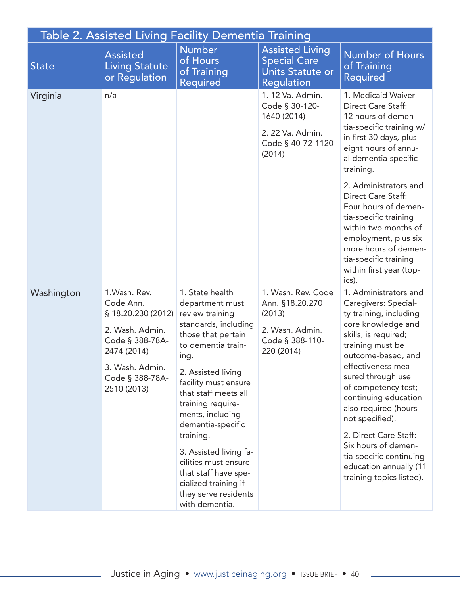| <b>Table 2. Assisted Living Facility Dementia Training</b> |                                                                                                                                                            |                                                                                                                                                                                                                                                                                                                                                                                                                                |                                                                                                      |                                                                                                                                                                                                                                                                                                                                                                                                                                       |
|------------------------------------------------------------|------------------------------------------------------------------------------------------------------------------------------------------------------------|--------------------------------------------------------------------------------------------------------------------------------------------------------------------------------------------------------------------------------------------------------------------------------------------------------------------------------------------------------------------------------------------------------------------------------|------------------------------------------------------------------------------------------------------|---------------------------------------------------------------------------------------------------------------------------------------------------------------------------------------------------------------------------------------------------------------------------------------------------------------------------------------------------------------------------------------------------------------------------------------|
| <b>State</b>                                               | <b>Assisted</b><br><b>Living Statute</b><br>or Regulation                                                                                                  | <b>Number</b><br>of Hours<br>of Training<br><b>Required</b>                                                                                                                                                                                                                                                                                                                                                                    | <b>Assisted Living</b><br><b>Special Care</b><br><b>Units Statute or</b><br><b>Regulation</b>        | Number of Hours<br>of Training<br><b>Required</b>                                                                                                                                                                                                                                                                                                                                                                                     |
| Virginia                                                   | n/a                                                                                                                                                        |                                                                                                                                                                                                                                                                                                                                                                                                                                | 1. 12 Va. Admin.<br>Code § 30-120-<br>1640 (2014)<br>2. 22 Va. Admin.<br>Code § 40-72-1120<br>(2014) | 1. Medicaid Waiver<br>Direct Care Staff:<br>12 hours of demen-<br>tia-specific training w/<br>in first 30 days, plus<br>eight hours of annu-<br>al dementia-specific<br>training.<br>2. Administrators and<br>Direct Care Staff:                                                                                                                                                                                                      |
|                                                            |                                                                                                                                                            |                                                                                                                                                                                                                                                                                                                                                                                                                                |                                                                                                      | Four hours of demen-<br>tia-specific training<br>within two months of<br>employment, plus six<br>more hours of demen-<br>tia-specific training<br>within first year (top-<br>ics).                                                                                                                                                                                                                                                    |
| Washington                                                 | 1. Wash. Rev.<br>Code Ann.<br>§ 18.20.230 (2012)<br>2. Wash. Admin.<br>Code § 388-78A-<br>2474 (2014)<br>3. Wash. Admin.<br>Code § 388-78A-<br>2510 (2013) | 1. State health<br>department must<br>review training<br>standards, including<br>those that pertain<br>to dementia train-<br>ing.<br>2. Assisted living<br>facility must ensure<br>that staff meets all<br>training require-<br>ments, including<br>dementia-specific<br>training.<br>3. Assisted living fa-<br>cilities must ensure<br>that staff have spe-<br>cialized training if<br>they serve residents<br>with dementia. | 1. Wash. Rev. Code<br>Ann. §18.20.270<br>(2013)<br>2. Wash. Admin.<br>Code § 388-110-<br>220 (2014)  | 1. Administrators and<br>Caregivers: Special-<br>ty training, including<br>core knowledge and<br>skills, is required;<br>training must be<br>outcome-based, and<br>effectiveness mea-<br>sured through use<br>of competency test;<br>continuing education<br>also required (hours<br>not specified).<br>2. Direct Care Staff:<br>Six hours of demen-<br>tia-specific continuing<br>education annually (11<br>training topics listed). |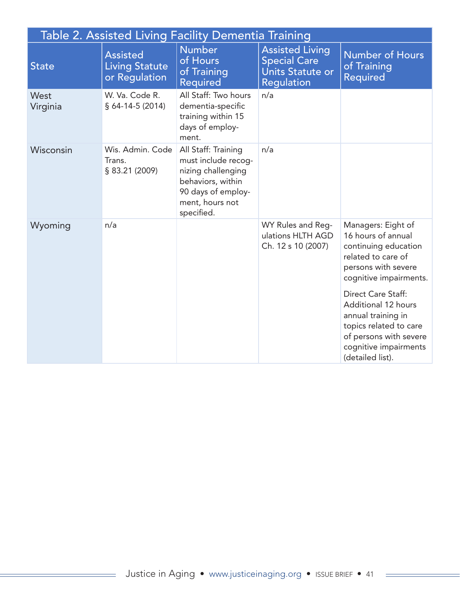|                  |                                                           | Table 2. Assisted Living Facility Dementia Training                                                                                          |                                                                                 |                                                                                                                                                                         |
|------------------|-----------------------------------------------------------|----------------------------------------------------------------------------------------------------------------------------------------------|---------------------------------------------------------------------------------|-------------------------------------------------------------------------------------------------------------------------------------------------------------------------|
| <b>State</b>     | <b>Assisted</b><br><b>Living Statute</b><br>or Regulation | <b>Number</b><br>of Hours<br>of Training<br><b>Required</b>                                                                                  | <b>Assisted Living</b><br><b>Special Care</b><br>Units Statute or<br>Regulation | <b>Number of Hours</b><br>of Training<br><b>Required</b>                                                                                                                |
| West<br>Virginia | W. Va. Code R.<br>$§$ 64-14-5 (2014)                      | All Staff: Two hours<br>dementia-specific<br>training within 15<br>days of employ-<br>ment.                                                  | n/a                                                                             |                                                                                                                                                                         |
| Wisconsin        | Wis. Admin. Code<br>Trans.<br>§ 83.21 (2009)              | All Staff: Training<br>must include recog-<br>nizing challenging<br>behaviors, within<br>90 days of employ-<br>ment, hours not<br>specified. | n/a                                                                             |                                                                                                                                                                         |
| Wyoming          | n/a                                                       |                                                                                                                                              | WY Rules and Reg-<br>ulations HLTH AGD<br>Ch. 12 s 10 (2007)                    | Managers: Eight of<br>16 hours of annual<br>continuing education<br>related to care of<br>persons with severe<br>cognitive impairments.                                 |
|                  |                                                           |                                                                                                                                              |                                                                                 | Direct Care Staff:<br><b>Additional 12 hours</b><br>annual training in<br>topics related to care<br>of persons with severe<br>cognitive impairments<br>(detailed list). |

Ξ

 $\equiv$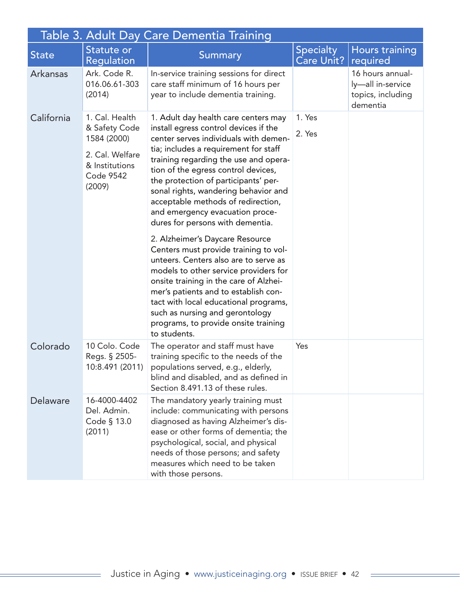| Table 3. Adult Day Care Dementia Training |                                                                                                                   |                                                                                                                                                                                                                                                                                                                                                                                                                                                                                                                                                                                                                                                                                                                                                                                                                                  |                                |                                                                        |
|-------------------------------------------|-------------------------------------------------------------------------------------------------------------------|----------------------------------------------------------------------------------------------------------------------------------------------------------------------------------------------------------------------------------------------------------------------------------------------------------------------------------------------------------------------------------------------------------------------------------------------------------------------------------------------------------------------------------------------------------------------------------------------------------------------------------------------------------------------------------------------------------------------------------------------------------------------------------------------------------------------------------|--------------------------------|------------------------------------------------------------------------|
| State                                     | Statute or<br>Regulation                                                                                          | Summary                                                                                                                                                                                                                                                                                                                                                                                                                                                                                                                                                                                                                                                                                                                                                                                                                          | <b>Specialty</b><br>Care Unit? | Hours training<br>required                                             |
| Arkansas                                  | Ark. Code R.<br>016.06.61-303<br>(2014)                                                                           | In-service training sessions for direct<br>care staff minimum of 16 hours per<br>year to include dementia training.                                                                                                                                                                                                                                                                                                                                                                                                                                                                                                                                                                                                                                                                                                              |                                | 16 hours annual-<br>ly-all in-service<br>topics, including<br>dementia |
| California                                | 1. Cal. Health<br>& Safety Code<br>1584 (2000)<br>2. Cal. Welfare<br>& Institutions<br><b>Code 9542</b><br>(2009) | 1. Adult day health care centers may<br>install egress control devices if the<br>center serves individuals with demen-<br>tia; includes a requirement for staff<br>training regarding the use and opera-<br>tion of the egress control devices,<br>the protection of participants' per-<br>sonal rights, wandering behavior and<br>acceptable methods of redirection,<br>and emergency evacuation proce-<br>dures for persons with dementia.<br>2. Alzheimer's Daycare Resource<br>Centers must provide training to vol-<br>unteers. Centers also are to serve as<br>models to other service providers for<br>onsite training in the care of Alzhei-<br>mer's patients and to establish con-<br>tact with local educational programs,<br>such as nursing and gerontology<br>programs, to provide onsite training<br>to students. | 1. Yes<br>2. Yes               |                                                                        |
| Colorado                                  | 10 Colo. Code<br>Regs. § 2505-<br>10:8.491 (2011)                                                                 | The operator and staff must have<br>training specific to the needs of the<br>populations served, e.g., elderly,<br>blind and disabled, and as defined in<br>Section 8.491.13 of these rules.                                                                                                                                                                                                                                                                                                                                                                                                                                                                                                                                                                                                                                     | Yes                            |                                                                        |
| Delaware                                  | 16-4000-4402<br>Del. Admin.<br>Code § 13.0<br>(2011)                                                              | The mandatory yearly training must<br>include: communicating with persons<br>diagnosed as having Alzheimer's dis-<br>ease or other forms of dementia; the<br>psychological, social, and physical<br>needs of those persons; and safety<br>measures which need to be taken<br>with those persons.                                                                                                                                                                                                                                                                                                                                                                                                                                                                                                                                 |                                |                                                                        |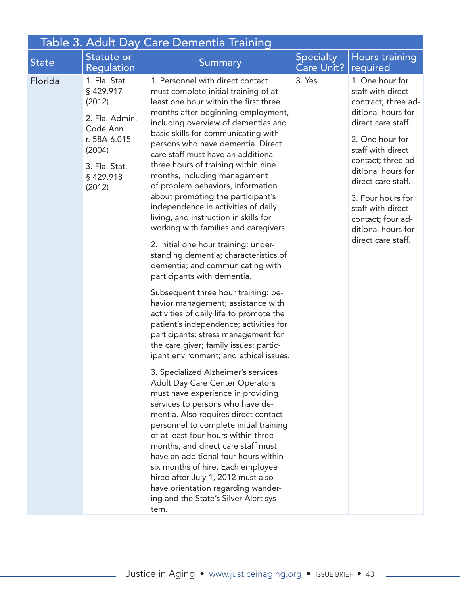| <b>Table 3. Adult Day Care Dementia Training</b> |                                                                                                                                     |                                                                                                                                                                                                                                                                                                                                                                                                                                                                                                                                                                                                                                                                                                                                                                                                                                                                                                                                                                                                                                                                                                                                                                                                                                                                                                                                                                                                                                                                                                                                                                                |                                       |                                                                                                                                                                                                                                                                                                                              |
|--------------------------------------------------|-------------------------------------------------------------------------------------------------------------------------------------|--------------------------------------------------------------------------------------------------------------------------------------------------------------------------------------------------------------------------------------------------------------------------------------------------------------------------------------------------------------------------------------------------------------------------------------------------------------------------------------------------------------------------------------------------------------------------------------------------------------------------------------------------------------------------------------------------------------------------------------------------------------------------------------------------------------------------------------------------------------------------------------------------------------------------------------------------------------------------------------------------------------------------------------------------------------------------------------------------------------------------------------------------------------------------------------------------------------------------------------------------------------------------------------------------------------------------------------------------------------------------------------------------------------------------------------------------------------------------------------------------------------------------------------------------------------------------------|---------------------------------------|------------------------------------------------------------------------------------------------------------------------------------------------------------------------------------------------------------------------------------------------------------------------------------------------------------------------------|
| <b>State</b>                                     | Statute or<br><b>Regulation</b>                                                                                                     | Summary                                                                                                                                                                                                                                                                                                                                                                                                                                                                                                                                                                                                                                                                                                                                                                                                                                                                                                                                                                                                                                                                                                                                                                                                                                                                                                                                                                                                                                                                                                                                                                        | <b>Specialty</b><br><b>Care Unit?</b> | Hours training<br>required                                                                                                                                                                                                                                                                                                   |
| Florida                                          | 1. Fla. Stat.<br>§429.917<br>(2012)<br>2. Fla. Admin.<br>Code Ann.<br>r. 58A-6.015<br>(2004)<br>3. Fla. Stat.<br>§429.918<br>(2012) | 1. Personnel with direct contact<br>must complete initial training of at<br>least one hour within the first three<br>months after beginning employment,<br>including overview of dementias and<br>basic skills for communicating with<br>persons who have dementia. Direct<br>care staff must have an additional<br>three hours of training within nine<br>months, including management<br>of problem behaviors, information<br>about promoting the participant's<br>independence in activities of daily<br>living, and instruction in skills for<br>working with families and caregivers.<br>2. Initial one hour training: under-<br>standing dementia; characteristics of<br>dementia; and communicating with<br>participants with dementia.<br>Subsequent three hour training: be-<br>havior management; assistance with<br>activities of daily life to promote the<br>patient's independence; activities for<br>participants; stress management for<br>the care giver; family issues; partic-<br>ipant environment; and ethical issues.<br>3. Specialized Alzheimer's services<br><b>Adult Day Care Center Operators</b><br>must have experience in providing<br>services to persons who have de-<br>mentia. Also requires direct contact<br>personnel to complete initial training<br>of at least four hours within three<br>months, and direct care staff must<br>have an additional four hours within<br>six months of hire. Each employee<br>hired after July 1, 2012 must also<br>have orientation regarding wander-<br>ing and the State's Silver Alert sys-<br>tem. | 3. Yes                                | 1. One hour for<br>staff with direct<br>contract; three ad-<br>ditional hours for<br>direct care staff.<br>2. One hour for<br>staff with direct<br>contact; three ad-<br>ditional hours for<br>direct care staff.<br>3. Four hours for<br>staff with direct<br>contact; four ad-<br>ditional hours for<br>direct care staff. |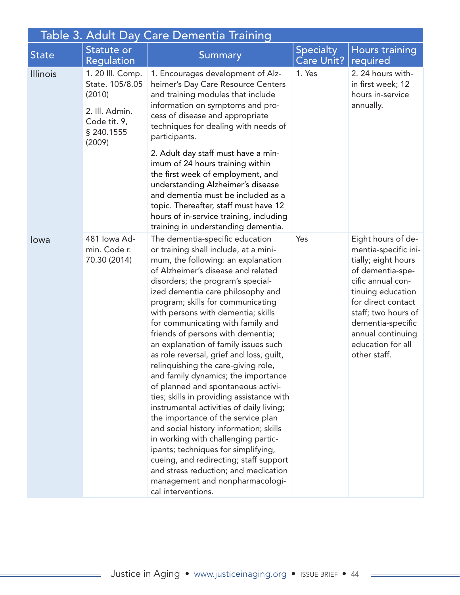| Table 3. Adult Day Care Dementia Training |                                                                                                         |                                                                                                                                                                                                                                                                                                                                                                                                                                                                                                                                                                                                                                                                                                                                                                                                                                                                                                                                                                                               |                                |                                                                                                                                                                                                                                                             |
|-------------------------------------------|---------------------------------------------------------------------------------------------------------|-----------------------------------------------------------------------------------------------------------------------------------------------------------------------------------------------------------------------------------------------------------------------------------------------------------------------------------------------------------------------------------------------------------------------------------------------------------------------------------------------------------------------------------------------------------------------------------------------------------------------------------------------------------------------------------------------------------------------------------------------------------------------------------------------------------------------------------------------------------------------------------------------------------------------------------------------------------------------------------------------|--------------------------------|-------------------------------------------------------------------------------------------------------------------------------------------------------------------------------------------------------------------------------------------------------------|
| <b>State</b>                              | <b>Statute or</b><br>Regulation                                                                         | Summary                                                                                                                                                                                                                                                                                                                                                                                                                                                                                                                                                                                                                                                                                                                                                                                                                                                                                                                                                                                       | <b>Specialty</b><br>Care Unit? | <b>Hours training</b><br>required                                                                                                                                                                                                                           |
| <b>Illinois</b>                           | 1. 20 III. Comp.<br>State. 105/8.05<br>(2010)<br>2. Ill. Admin.<br>Code tit. 9,<br>§ 240.1555<br>(2009) | 1. Encourages development of Alz-<br>heimer's Day Care Resource Centers<br>and training modules that include<br>information on symptoms and pro-<br>cess of disease and appropriate<br>techniques for dealing with needs of<br>participants.                                                                                                                                                                                                                                                                                                                                                                                                                                                                                                                                                                                                                                                                                                                                                  | 1. Yes                         | 2. 24 hours with-<br>in first week; 12<br>hours in-service<br>annually.                                                                                                                                                                                     |
|                                           |                                                                                                         | 2. Adult day staff must have a min-<br>imum of 24 hours training within<br>the first week of employment, and<br>understanding Alzheimer's disease<br>and dementia must be included as a<br>topic. Thereafter, staff must have 12<br>hours of in-service training, including<br>training in understanding dementia.                                                                                                                                                                                                                                                                                                                                                                                                                                                                                                                                                                                                                                                                            |                                |                                                                                                                                                                                                                                                             |
| lowa                                      | 481 Iowa Ad-<br>min. Code r.<br>70.30 (2014)                                                            | The dementia-specific education<br>or training shall include, at a mini-<br>mum, the following: an explanation<br>of Alzheimer's disease and related<br>disorders; the program's special-<br>ized dementia care philosophy and<br>program; skills for communicating<br>with persons with dementia; skills<br>for communicating with family and<br>friends of persons with dementia;<br>an explanation of family issues such<br>as role reversal, grief and loss, guilt,<br>relinquishing the care-giving role,<br>and family dynamics; the importance<br>of planned and spontaneous activi-<br>ties; skills in providing assistance with<br>instrumental activities of daily living;<br>the importance of the service plan<br>and social history information; skills<br>in working with challenging partic-<br>ipants; techniques for simplifying,<br>cueing, and redirecting; staff support<br>and stress reduction; and medication<br>management and nonpharmacologi-<br>cal interventions. | Yes                            | Eight hours of de-<br>mentia-specific ini-<br>tially; eight hours<br>of dementia-spe-<br>cific annual con-<br>tinuing education<br>for direct contact<br>staff; two hours of<br>dementia-specific<br>annual continuing<br>education for all<br>other staff. |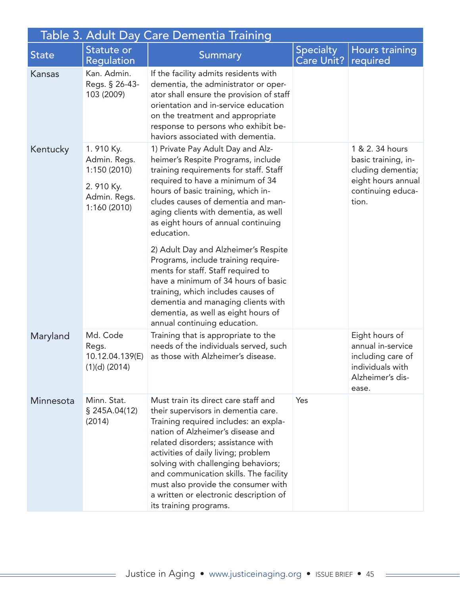| Table 3. Adult Day Care Dementia Training |                                                                                      |                                                                                                                                                                                                                                                                                                                                                                                                                                                                                                                                                                                                                                               |                                |                                                                                                                 |
|-------------------------------------------|--------------------------------------------------------------------------------------|-----------------------------------------------------------------------------------------------------------------------------------------------------------------------------------------------------------------------------------------------------------------------------------------------------------------------------------------------------------------------------------------------------------------------------------------------------------------------------------------------------------------------------------------------------------------------------------------------------------------------------------------------|--------------------------------|-----------------------------------------------------------------------------------------------------------------|
| <b>State</b>                              | Statute or<br><b>Regulation</b>                                                      | Summary                                                                                                                                                                                                                                                                                                                                                                                                                                                                                                                                                                                                                                       | <b>Specialty</b><br>Care Unit? | Hours training<br>required                                                                                      |
| Kansas                                    | Kan. Admin.<br>Regs. § 26-43-<br>103 (2009)                                          | If the facility admits residents with<br>dementia, the administrator or oper-<br>ator shall ensure the provision of staff<br>orientation and in-service education<br>on the treatment and appropriate<br>response to persons who exhibit be-<br>haviors associated with dementia.                                                                                                                                                                                                                                                                                                                                                             |                                |                                                                                                                 |
| Kentucky                                  | 1.910 Ky.<br>Admin. Regs.<br>1:150(2010)<br>2.910 Ky.<br>Admin. Regs.<br>1:160(2010) | 1) Private Pay Adult Day and Alz-<br>heimer's Respite Programs, include<br>training requirements for staff. Staff<br>required to have a minimum of 34<br>hours of basic training, which in-<br>cludes causes of dementia and man-<br>aging clients with dementia, as well<br>as eight hours of annual continuing<br>education.<br>2) Adult Day and Alzheimer's Respite<br>Programs, include training require-<br>ments for staff. Staff required to<br>have a minimum of 34 hours of basic<br>training, which includes causes of<br>dementia and managing clients with<br>dementia, as well as eight hours of<br>annual continuing education. |                                | 1 & 2. 34 hours<br>basic training, in-<br>cluding dementia;<br>eight hours annual<br>continuing educa-<br>tion. |
| Maryland                                  | Md. Code<br>Regs.<br>10.12.04.139(E)<br>$(1)(d)$ (2014)                              | Training that is appropriate to the<br>needs of the individuals served, such<br>as those with Alzheimer's disease.                                                                                                                                                                                                                                                                                                                                                                                                                                                                                                                            |                                | Eight hours of<br>annual in-service<br>including care of<br>individuals with<br>Alzheimer's dis-<br>ease.       |
| Minnesota                                 | Minn. Stat.<br>§ 245A.04(12)<br>(2014)                                               | Must train its direct care staff and<br>their supervisors in dementia care.<br>Training required includes: an expla-<br>nation of Alzheimer's disease and<br>related disorders; assistance with<br>activities of daily living; problem<br>solving with challenging behaviors;<br>and communication skills. The facility<br>must also provide the consumer with<br>a written or electronic description of<br>its training programs.                                                                                                                                                                                                            | Yes                            |                                                                                                                 |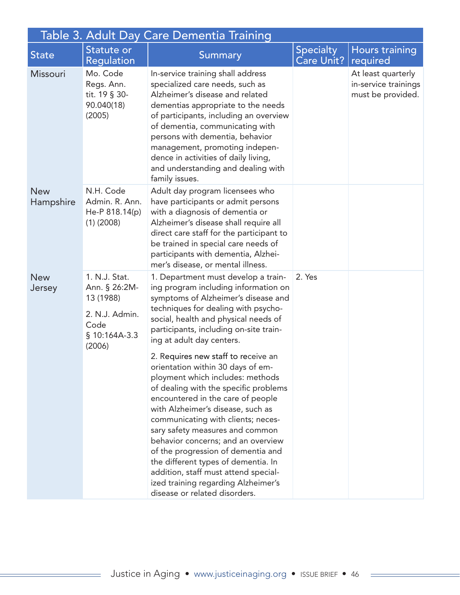| Table 3. Adult Day Care Dementia Training |                                                                                                    |                                                                                                                                                                                                                                                                                                                                                                                                                                                                                                                                                                                                                                                                                                                                                                                                                         |                                       |                                                                 |
|-------------------------------------------|----------------------------------------------------------------------------------------------------|-------------------------------------------------------------------------------------------------------------------------------------------------------------------------------------------------------------------------------------------------------------------------------------------------------------------------------------------------------------------------------------------------------------------------------------------------------------------------------------------------------------------------------------------------------------------------------------------------------------------------------------------------------------------------------------------------------------------------------------------------------------------------------------------------------------------------|---------------------------------------|-----------------------------------------------------------------|
| <b>State</b>                              | <b>Statute or</b><br><b>Regulation</b>                                                             | Summary                                                                                                                                                                                                                                                                                                                                                                                                                                                                                                                                                                                                                                                                                                                                                                                                                 | <b>Specialty</b><br><b>Care Unit?</b> | Hours training<br>required                                      |
| Missouri                                  | Mo. Code<br>Regs. Ann.<br>tit. 19 § 30-<br>90.040(18)<br>(2005)                                    | In-service training shall address<br>specialized care needs, such as<br>Alzheimer's disease and related<br>dementias appropriate to the needs<br>of participants, including an overview<br>of dementia, communicating with<br>persons with dementia, behavior<br>management, promoting indepen-<br>dence in activities of daily living,<br>and understanding and dealing with<br>family issues.                                                                                                                                                                                                                                                                                                                                                                                                                         |                                       | At least quarterly<br>in-service trainings<br>must be provided. |
| <b>New</b><br>Hampshire                   | N.H. Code<br>Admin. R. Ann.<br>He-P 818.14(p)<br>$(1)$ (2008)                                      | Adult day program licensees who<br>have participants or admit persons<br>with a diagnosis of dementia or<br>Alzheimer's disease shall require all<br>direct care staff for the participant to<br>be trained in special care needs of<br>participants with dementia, Alzhei-<br>mer's disease, or mental illness.                                                                                                                                                                                                                                                                                                                                                                                                                                                                                                        |                                       |                                                                 |
| <b>New</b><br>Jersey                      | 1. N.J. Stat.<br>Ann. § 26:2M-<br>13 (1988)<br>2. N.J. Admin.<br>Code<br>$§$ 10:164A-3.3<br>(2006) | 1. Department must develop a train-<br>ing program including information on<br>symptoms of Alzheimer's disease and<br>techniques for dealing with psycho-<br>social, health and physical needs of<br>participants, including on-site train-<br>ing at adult day centers.<br>2. Requires new staff to receive an<br>orientation within 30 days of em-<br>ployment which includes: methods<br>of dealing with the specific problems<br>encountered in the care of people<br>with Alzheimer's disease, such as<br>communicating with clients; neces-<br>sary safety measures and common<br>behavior concerns; and an overview<br>of the progression of dementia and<br>the different types of dementia. In<br>addition, staff must attend special-<br>ized training regarding Alzheimer's<br>disease or related disorders. | 2. Yes                                |                                                                 |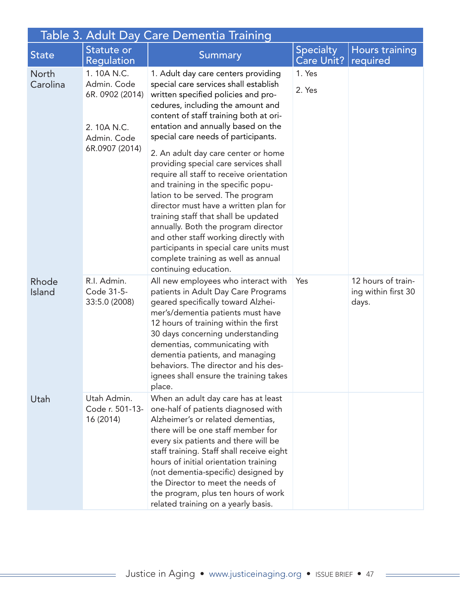| Table 3. Adult Day Care Dementia Training |                                                                                             |                                                                                                                                                                                                                                                                                                                                                                                                                                                                                                                                                                                                                                                                                                                                                                   |                                       |                                                    |
|-------------------------------------------|---------------------------------------------------------------------------------------------|-------------------------------------------------------------------------------------------------------------------------------------------------------------------------------------------------------------------------------------------------------------------------------------------------------------------------------------------------------------------------------------------------------------------------------------------------------------------------------------------------------------------------------------------------------------------------------------------------------------------------------------------------------------------------------------------------------------------------------------------------------------------|---------------------------------------|----------------------------------------------------|
| <b>State</b>                              | Statute or<br>Regulation                                                                    | Summary                                                                                                                                                                                                                                                                                                                                                                                                                                                                                                                                                                                                                                                                                                                                                           | <b>Specialty</b><br><b>Care Unit?</b> | Hours training<br>required                         |
| <b>North</b><br>Carolina                  | 1.10A N.C.<br>Admin. Code<br>6R. 0902 (2014)<br>2.10A N.C.<br>Admin. Code<br>6R.0907 (2014) | 1. Adult day care centers providing<br>special care services shall establish<br>written specified policies and pro-<br>cedures, including the amount and<br>content of staff training both at ori-<br>entation and annually based on the<br>special care needs of participants.<br>2. An adult day care center or home<br>providing special care services shall<br>require all staff to receive orientation<br>and training in the specific popu-<br>lation to be served. The program<br>director must have a written plan for<br>training staff that shall be updated<br>annually. Both the program director<br>and other staff working directly with<br>participants in special care units must<br>complete training as well as annual<br>continuing education. | 1. Yes<br>2. Yes                      |                                                    |
| Rhode<br>Island                           | R.I. Admin.<br>Code 31-5-<br>33:5.0 (2008)                                                  | All new employees who interact with<br>patients in Adult Day Care Programs<br>geared specifically toward Alzhei-<br>mer's/dementia patients must have<br>12 hours of training within the first<br>30 days concerning understanding<br>dementias, communicating with<br>dementia patients, and managing<br>behaviors. The director and his des-<br>ignees shall ensure the training takes<br>place.                                                                                                                                                                                                                                                                                                                                                                | Yes                                   | 12 hours of train-<br>ing within first 30<br>days. |
| Utah                                      | Utah Admin.<br>Code r. 501-13-<br>16 (2014)                                                 | When an adult day care has at least<br>one-half of patients diagnosed with<br>Alzheimer's or related dementias,<br>there will be one staff member for<br>every six patients and there will be<br>staff training. Staff shall receive eight<br>hours of initial orientation training<br>(not dementia-specific) designed by<br>the Director to meet the needs of<br>the program, plus ten hours of work<br>related training on a yearly basis.                                                                                                                                                                                                                                                                                                                     |                                       |                                                    |